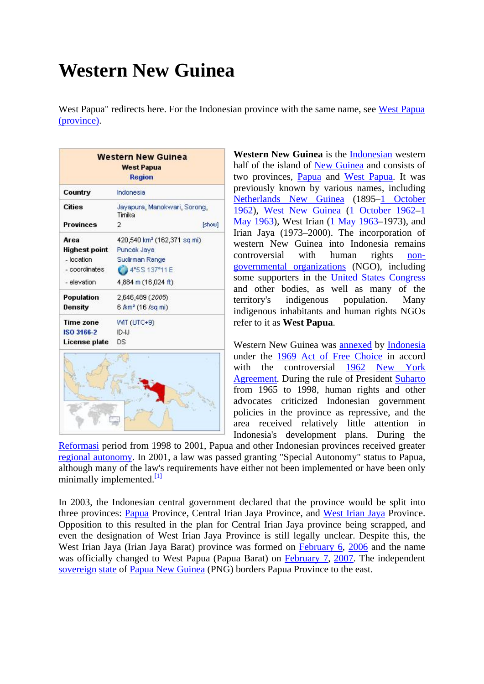# **Western New Guinea**

West Papua" redirects here. For the Indonesian province with the same name, see [West Papua](http://en.wikipedia.org/wiki/West_Papua_%28province%29)  [\(province\).](http://en.wikipedia.org/wiki/West_Papua_%28province%29)

| Country          | Indonesia                               |  |
|------------------|-----------------------------------------|--|
| <b>Cities</b>    | Jayapura, Manokwari, Sorong,<br>Timika  |  |
| <b>Provinces</b> | 2<br>[show]                             |  |
| Area             | 420,540 km <sup>2</sup> (162,371 sq mi) |  |
| Highest point    | Puncak Jaya                             |  |
| - location       | Sudirman Range                          |  |
| - coordinates    | 4"5 S 137"11 E                          |  |
| - elevation      | 4,884 m (16,024 ft)                     |  |
| Population       | 2,646,489 (2005)                        |  |
| Density          | 6 <i>f</i> km <sup>2</sup> (16 /sq mi)  |  |
| <b>Time zone</b> | WIT (UTC+9)                             |  |
| ISO 3166-2       | $ID-LI$                                 |  |
| License plate    | DS                                      |  |

**Western New Guinea** is the [Indonesian](http://en.wikipedia.org/wiki/Indonesia) western half of the island of [New Guinea](http://en.wikipedia.org/wiki/New_Guinea) and consists of two provinces, [Papua](http://en.wikipedia.org/wiki/Papua_%28Indonesian_province%29) and [West Papua](http://en.wikipedia.org/wiki/West_Papua_%28province%29). It was previously known by various names, including [Netherlands New Guinea](http://en.wikipedia.org/wiki/Netherlands_New_Guinea) (1895[–1 October](http://en.wikipedia.org/wiki/October_1) [1962](http://en.wikipedia.org/wiki/1962)), [West New Guinea](http://en.wikipedia.org/wiki/West_New_Guinea) ([1 October](http://en.wikipedia.org/wiki/October_1) [1962](http://en.wikipedia.org/wiki/1962)–[1](http://en.wikipedia.org/wiki/May_1)  [May](http://en.wikipedia.org/wiki/May_1) [1963\)](http://en.wikipedia.org/wiki/1963), West Irian [\(1 May](http://en.wikipedia.org/wiki/May_1) [1963](http://en.wikipedia.org/wiki/1963)–1973), and Irian Jaya (1973–2000). The incorporation of western New Guinea into Indonesia remains controversial with human rights [non](http://en.wikipedia.org/wiki/Non-governmental_organization)[governmental organizations](http://en.wikipedia.org/wiki/Non-governmental_organization) (NGO), including some supporters in the [United States Congress](http://en.wikipedia.org/wiki/United_States_Congress) and other bodies, as well as many of the territory's indigenous population. Many indigenous inhabitants and human rights NGOs refer to it as **West Papua**.

Western New Guinea was [annexed](http://en.wikipedia.org/wiki/Annexation) by [Indonesia](http://en.wikipedia.org/wiki/Indonesia) under the [1969](http://en.wikipedia.org/wiki/1969) [Act of Free Choice](http://en.wikipedia.org/wiki/Act_of_Free_Choice) in accord with the controversial [1962](http://en.wikipedia.org/wiki/1962) New York [Agreement.](http://en.wikipedia.org/wiki/New_York_Agreement) During the rule of President [Suharto](http://en.wikipedia.org/wiki/Suharto) from 1965 to 1998, human rights and other advocates criticized Indonesian government policies in the province as repressive, and the area received relatively little attention in Indonesia's development plans. During the

[Reformasi](http://en.wikipedia.org/wiki/Reformasi) period from 1998 to 2001, Papua and other Indonesian provinces received greater [regional autonomy.](http://en.wikipedia.org/wiki/Regional_autonomy) In 2001, a law was passed granting "Special Autonomy" status to Papua, although many of the law's requirements have either not been implemented or have been only minimally implemented. $\frac{11}{11}$ 

In 2003, the Indonesian central government declared that the province would be split into three provinces: [Papua](http://en.wikipedia.org/wiki/Papua_%28Indonesian_province%29) Province, Central Irian Jaya Province, and [West Irian Jaya](http://en.wikipedia.org/wiki/West_Irian_Jaya) Province. Opposition to this resulted in the plan for Central Irian Jaya province being scrapped, and even the designation of West Irian Jaya Province is still legally unclear. Despite this, the West Irian Jaya (Irian Jaya Barat) province was formed on [February 6,](http://en.wikipedia.org/wiki/February_6) [2006](http://en.wikipedia.org/wiki/2006) and the name was officially changed to West Papua (Papua Barat) on [February 7,](http://en.wikipedia.org/wiki/February_7) [2007.](http://en.wikipedia.org/wiki/2007) The independent [sovereign](http://en.wikipedia.org/wiki/Sovereignty) [state](http://en.wikipedia.org/wiki/State) of [Papua New Guinea](http://en.wikipedia.org/wiki/Papua_New_Guinea) (PNG) borders Papua Province to the east.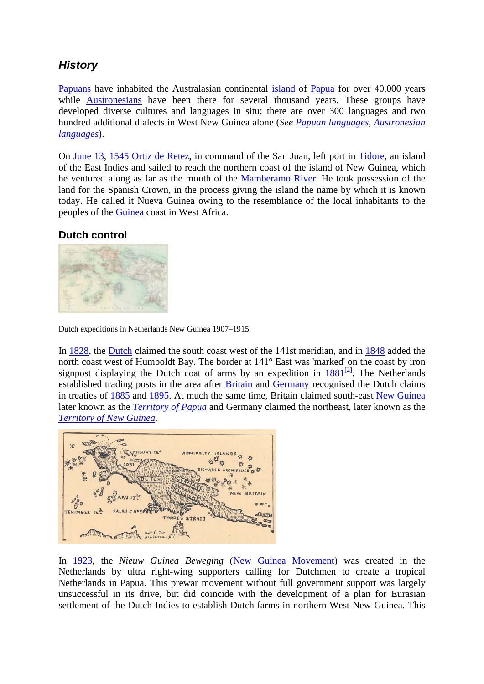# *History*

[Papuans](http://en.wikipedia.org/wiki/Papuans) have inhabited the Australasian continental [island](http://en.wikipedia.org/wiki/Island) of [Papua](http://en.wikipedia.org/wiki/Papua) for over 40,000 years while [Austronesians](http://en.wikipedia.org/wiki/Austronesian_people) have been there for several thousand years. These groups have developed diverse cultures and languages in situ; there are over 300 languages and two hundred additional dialects in West New Guinea alone (*See [Papuan languages,](http://en.wikipedia.org/wiki/Papuan_languages) [Austronesian](http://en.wikipedia.org/wiki/Austronesian_languages)  [languages](http://en.wikipedia.org/wiki/Austronesian_languages)*).

On [June 13,](http://en.wikipedia.org/wiki/June_13) [1545](http://en.wikipedia.org/wiki/1545) [Ortiz de Retez,](http://en.wikipedia.org/wiki/Ortiz_de_Retez) in command of the San Juan, left port in [Tidore](http://en.wikipedia.org/wiki/Tidore), an island of the East Indies and sailed to reach the northern coast of the island of New Guinea, which he ventured along as far as the mouth of the [Mamberamo River.](http://en.wikipedia.org/wiki/Mamberamo_River) He took possession of the land for the Spanish Crown, in the process giving the island the name by which it is known today. He called it Nueva Guinea owing to the resemblance of the local inhabitants to the peoples of the [Guinea](http://en.wikipedia.org/wiki/Guinea) coast in West Africa.

### **[Dutch control](http://en.wikipedia.org/wiki/Image:NetherlandsNewGuinea-1916.jpg)**



Dutch expeditions in Netherlands New Guinea 1907–1915.

In [1828](http://en.wikipedia.org/wiki/1828), the [Dutch](http://en.wikipedia.org/wiki/The_Netherlands) claimed the south coast west of the 141st meridian, and in [1848](http://en.wikipedia.org/wiki/1848) added the north coast west of Humboldt Bay. The border at 141° East was 'marked' on the coast by iron signpost displaying the Dutch coat of arms by an expedition in  $1881^{[2]}$  $1881^{[2]}$  $1881^{[2]}$  $1881^{[2]}$ . The Netherlands established trading posts in the area after [Britain](http://en.wikipedia.org/wiki/United_Kingdom) and [Germany](http://en.wikipedia.org/wiki/Germany) recognised the Dutch claims in treaties of [1885](http://en.wikipedia.org/wiki/1885) and [1895.](http://en.wikipedia.org/wiki/1895) At much the same time, Britain claimed south-east [New Guinea](http://en.wikipedia.org/wiki/New_Guinea) later known as the *[Territory of Papua](http://en.wikipedia.org/wiki/Territory_of_Papua)* and Germany claimed the northeast, later known as the *[Territory of New Guinea](http://en.wikipedia.org/wiki/German_New_Guinea)*.



In [1923,](http://en.wikipedia.org/wiki/1923) the *Nieuw Guinea Beweging* ([New Guinea Movement](http://en.wikipedia.org/w/index.php?title=New_Guinea_Movement&action=editredlink)) was created in the Netherlands by ultra right-wing supporters calling for Dutchmen to create a tropical Netherlands in Papua. This prewar movement without full government support was largely unsuccessful in its drive, but did coincide with the development of a plan for Eurasian settlement of the Dutch Indies to establish Dutch farms in northern West New Guinea. This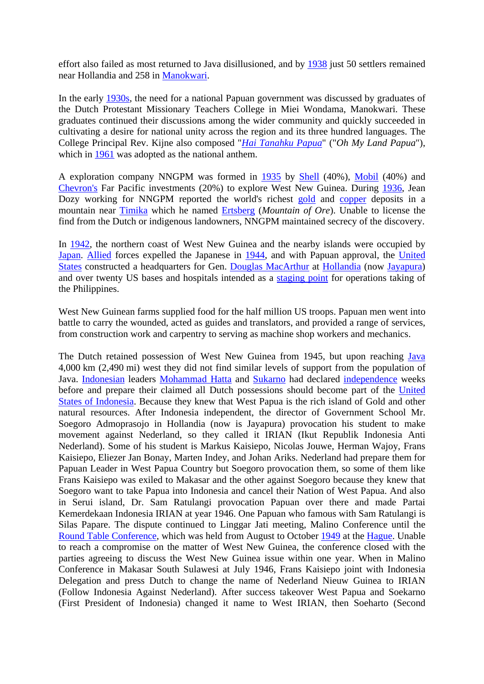effort also failed as most returned to Java disillusioned, and by [1938](http://en.wikipedia.org/wiki/1938) just 50 settlers remained near Hollandia and 258 in [Manokwari.](http://en.wikipedia.org/wiki/Manokwari)

In the early [1930s](http://en.wikipedia.org/wiki/1930s), the need for a national Papuan government was discussed by graduates of the Dutch Protestant Missionary Teachers College in Miei Wondama, Manokwari. These graduates continued their discussions among the wider community and quickly succeeded in cultivating a desire for national unity across the region and its three hundred languages. The College Principal Rev. Kijne also composed "*[Hai Tanahku Papua](http://en.wikipedia.org/wiki/Hai_Tanahku_Papua)*" ("*Oh My Land Papua*"), which in [1961](http://en.wikipedia.org/wiki/1961) was adopted as the national anthem.

A exploration company NNGPM was formed in [1935](http://en.wikipedia.org/wiki/1935) by [Shell](http://en.wikipedia.org/wiki/Royal_Dutch_Shell) (40%), [Mobil](http://en.wikipedia.org/wiki/Mobil) (40%) and [Chevron's](http://en.wikipedia.org/wiki/Chevron_Corporation) Far Pacific investments (20%) to explore West New Guinea. During [1936,](http://en.wikipedia.org/wiki/1936) Jean Dozy working for NNGPM reported the world's richest [gold](http://en.wikipedia.org/wiki/Gold) and [copper](http://en.wikipedia.org/wiki/Copper) deposits in a mountain near [Timika](http://en.wikipedia.org/w/index.php?title=Timika&action=editredlink) which he named [Ertsberg](http://en.wikipedia.org/w/index.php?title=Ertsberg&action=editredlink) (*Mountain of Ore*). Unable to license the find from the Dutch or indigenous landowners, NNGPM maintained secrecy of the discovery.

In [1942](http://en.wikipedia.org/wiki/1942), the northern coast of West New Guinea and the nearby islands were occupied by [Japan](http://en.wikipedia.org/wiki/Japan). [Allied](http://en.wikipedia.org/wiki/Allied) forces expelled the Japanese in [1944,](http://en.wikipedia.org/wiki/1944) and with Papuan approval, the [United](http://en.wikipedia.org/wiki/United_States)  [States](http://en.wikipedia.org/wiki/United_States) constructed a headquarters for Gen. [Douglas MacArthur](http://en.wikipedia.org/wiki/Douglas_MacArthur) at [Hollandia](http://en.wikipedia.org/wiki/Hollandia) (now [Jayapura](http://en.wikipedia.org/wiki/Jayapura)) and over twenty US bases and hospitals intended as a [staging point](http://en.wikipedia.org/wiki/Staging_area) for operations taking of the Philippines.

West New Guinean farms supplied food for the half million US troops. Papuan men went into battle to carry the wounded, acted as guides and translators, and provided a range of services, from construction work and carpentry to serving as machine shop workers and mechanics.

The Dutch retained possession of West New Guinea from 1945, but upon reaching [Java](http://en.wikipedia.org/wiki/Java_%28island%29) 4,000 km (2,490 mi) west they did not find similar levels of support from the population of Java. [Indonesian](http://en.wikipedia.org/wiki/Indonesia) leaders [Mohammad Hatta](http://en.wikipedia.org/wiki/Mohammad_Hatta) and [Sukarno](http://en.wikipedia.org/wiki/Sukarno) had declared [independence](http://en.wikipedia.org/wiki/Indonesian_National_Revolution) weeks before and prepare their claimed all Dutch possessions should become part of the [United](http://en.wikipedia.org/wiki/United_States_of_Indonesia)  [States of Indonesia.](http://en.wikipedia.org/wiki/United_States_of_Indonesia) Because they knew that West Papua is the rich island of Gold and other natural resources. After Indonesia independent, the director of Government School Mr. Soegoro Admoprasojo in Hollandia (now is Jayapura) provocation his student to make movement against Nederland, so they called it IRIAN (Ikut Republik Indonesia Anti Nederland). Some of his student is Markus Kaisiepo, Nicolas Jouwe, Herman Wajoy, Frans Kaisiepo, Eliezer Jan Bonay, Marten Indey, and Johan Ariks. Nederland had prepare them for Papuan Leader in West Papua Country but Soegoro provocation them, so some of them like Frans Kaisiepo was exiled to Makasar and the other against Soegoro because they knew that Soegoro want to take Papua into Indonesia and cancel their Nation of West Papua. And also in Serui island, Dr. Sam Ratulangi provocation Papuan over there and made Partai Kemerdekaan Indonesia IRIAN at year 1946. One Papuan who famous with Sam Ratulangi is Silas Papare. The dispute continued to Linggar Jati meeting, Malino Conference until the [Round Table Conference,](http://en.wikipedia.org/wiki/Dutch-Indonesian_Round_Table_Conference) which was held from August to October [1949](http://en.wikipedia.org/wiki/1949) at the [Hague.](http://en.wikipedia.org/wiki/Hague) Unable to reach a compromise on the matter of West New Guinea, the conference closed with the parties agreeing to discuss the West New Guinea issue within one year. When in Malino Conference in Makasar South Sulawesi at July 1946, Frans Kaisiepo joint with Indonesia Delegation and press Dutch to change the name of Nederland Nieuw Guinea to IRIAN (Follow Indonesia Against Nederland). After success takeover West Papua and Soekarno (First President of Indonesia) changed it name to West IRIAN, then Soeharto (Second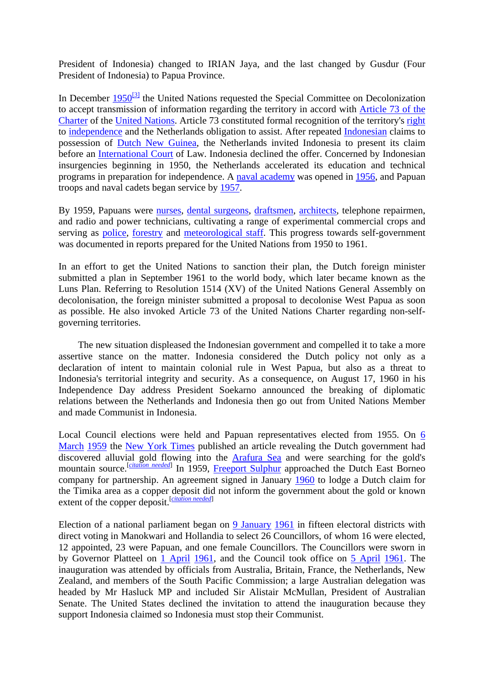President of Indonesia) changed to IRIAN Jaya, and the last changed by Gusdur (Four President of Indonesia) to Papua Province.

In December  $1950^{[3]}$  $1950^{[3]}$  the United Nations requested the Special Committee on Decolonization to accept transmission of information regarding the territory in accord with [Article 73 of the](http://en.wikipedia.org/wiki/Charter_of_the_United_Nations)  [Charter](http://en.wikipedia.org/wiki/Charter_of_the_United_Nations) of the [United Nations.](http://en.wikipedia.org/wiki/United_Nations) Article 73 constituted formal recognition of the territory's [right](http://en.wikipedia.org/wiki/Right) to [independence](http://en.wikipedia.org/wiki/Independence) and the Netherlands obligation to assist. After repeated [Indonesian](http://en.wikipedia.org/wiki/Indonesia) claims to possession of [Dutch New Guinea,](http://en.wikipedia.org/wiki/Dutch_New_Guinea) the Netherlands invited Indonesia to present its claim before an [International Court](http://en.wikipedia.org/wiki/International_Court_of_Justice) of Law. Indonesia declined the offer. Concerned by Indonesian insurgencies beginning in 1950, the Netherlands accelerated its education and technical programs in preparation for independence. A [naval academy](http://en.wikipedia.org/wiki/Naval_academy) was opened in [1956,](http://en.wikipedia.org/wiki/1956) and Papuan troops and naval cadets began service by [1957.](http://en.wikipedia.org/wiki/1957)

By 1959, Papuans were [nurses](http://en.wikipedia.org/wiki/Nurse), [dental surgeons](http://en.wikipedia.org/wiki/Dental_surgeon), [draftsmen](http://en.wikipedia.org/wiki/Technical_drawing), [architects](http://en.wikipedia.org/wiki/Architect), telephone repairmen, and radio and power technicians, cultivating a range of experimental commercial crops and serving as [police,](http://en.wikipedia.org/wiki/Police) [forestry](http://en.wikipedia.org/wiki/Forestry) and [meteorological staff](http://en.wikipedia.org/wiki/Meteorology). This progress towards self-government was documented in reports prepared for the United Nations from 1950 to 1961.

In an effort to get the United Nations to sanction their plan, the Dutch foreign minister submitted a plan in September 1961 to the world body, which later became known as the Luns Plan. Referring to Resolution 1514 (XV) of the United Nations General Assembly on decolonisation, the foreign minister submitted a proposal to decolonise West Papua as soon as possible. He also invoked Article 73 of the United Nations Charter regarding non-selfgoverning territories.

 The new situation displeased the Indonesian government and compelled it to take a more assertive stance on the matter. Indonesia considered the Dutch policy not only as a declaration of intent to maintain colonial rule in West Papua, but also as a threat to Indonesia's territorial integrity and security. As a consequence, on August 17, 1960 in his Independence Day address President Soekarno announced the breaking of diplomatic relations between the Netherlands and Indonesia then go out from United Nations Member and made Communist in Indonesia.

Local Council elections were held and Papuan representatives elected from 1955. On [6](http://en.wikipedia.org/wiki/March_6)  [March](http://en.wikipedia.org/wiki/March_6) [1959](http://en.wikipedia.org/wiki/1959) the [New York Times](http://en.wikipedia.org/wiki/New_York_Times) published an article revealing the Dutch government had discovered alluvial gold flowing into the [Arafura Sea](http://en.wikipedia.org/wiki/Arafura_Sea) and were searching for the gold's mountain source.<sup>[*[citation needed](http://en.wikipedia.org/wiki/Wikipedia:Citation_needed)*] In 1959, [Freeport Sulphur](http://en.wikipedia.org/wiki/Freeport-McMoRan) approached the Dutch East Borneo</sup> company for partnership. An agreement signed in January [1960](http://en.wikipedia.org/wiki/1960) to lodge a Dutch claim for the Timika area as a copper deposit did not inform the government about the gold or known extent of the copper deposit.<sup>[[citation needed](http://en.wikipedia.org/wiki/Wikipedia:Citation_needed)]</sup>

Election of a national parliament began on [9 January](http://en.wikipedia.org/wiki/January_9) [1961](http://en.wikipedia.org/wiki/1961) in fifteen electoral districts with direct voting in Manokwari and Hollandia to select 26 Councillors, of whom 16 were elected, 12 appointed, 23 were Papuan, and one female Councillors. The Councillors were sworn in by Governor Platteel on [1 April](http://en.wikipedia.org/wiki/April_1) [1961,](http://en.wikipedia.org/wiki/1961) and the Council took office on [5 April](http://en.wikipedia.org/wiki/April_5) [1961.](http://en.wikipedia.org/wiki/1961) The inauguration was attended by officials from Australia, Britain, France, the Netherlands, New Zealand, and members of the South Pacific Commission; a large Australian delegation was headed by Mr Hasluck MP and included Sir Alistair McMullan, President of Australian Senate. The United States declined the invitation to attend the inauguration because they support Indonesia claimed so Indonesia must stop their Communist.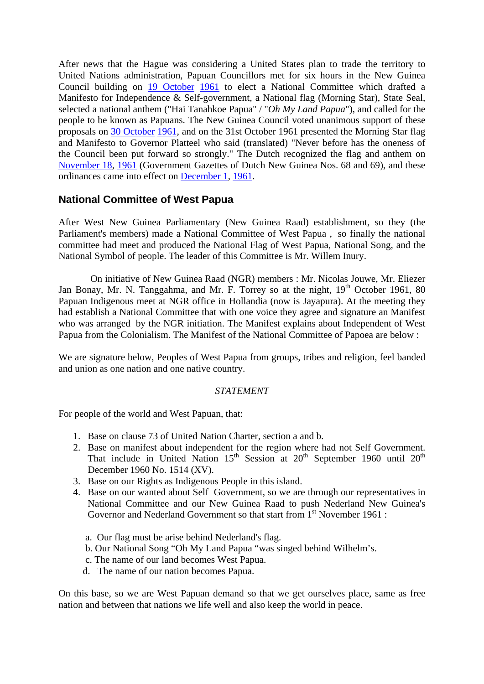After news that the Hague was considering a United States plan to trade the territory to United Nations administration, Papuan Councillors met for six hours in the New Guinea Council building on [19 October](http://en.wikipedia.org/wiki/October_19) [1961](http://en.wikipedia.org/wiki/1961) to elect a National Committee which drafted a Manifesto for Independence & Self-government, a National flag (Morning Star), State Seal, selected a national anthem ("Hai Tanahkoe Papua" / "*Oh My Land Papua*"), and called for the people to be known as Papuans. The New Guinea Council voted unanimous support of these proposals on [30 October](http://en.wikipedia.org/wiki/October_30) [1961,](http://en.wikipedia.org/wiki/1961) and on the 31st October 1961 presented the Morning Star flag and Manifesto to Governor Platteel who said (translated) "Never before has the oneness of the Council been put forward so strongly." The Dutch recognized the flag and anthem on [November 18](http://en.wikipedia.org/wiki/November_18), [1961](http://en.wikipedia.org/wiki/1961) (Government Gazettes of Dutch New Guinea Nos. 68 and 69), and these ordinances came into effect on [December 1,](http://en.wikipedia.org/wiki/December_1) [1961.](http://en.wikipedia.org/wiki/1961)

### **National Committee of West Papua**

After West New Guinea Parliamentary (New Guinea Raad) establishment, so they (the Parliament's members) made a National Committee of West Papua , so finally the national committee had meet and produced the National Flag of West Papua, National Song, and the National Symbol of people. The leader of this Committee is Mr. Willem Inury.

 On initiative of New Guinea Raad (NGR) members : Mr. Nicolas Jouwe, Mr. Eliezer Jan Bonay, Mr. N. Tanggahma, and Mr. F. Torrey so at the night,  $19<sup>th</sup>$  October 1961, 80 Papuan Indigenous meet at NGR office in Hollandia (now is Jayapura). At the meeting they had establish a National Committee that with one voice they agree and signature an Manifest who was arranged by the NGR initiation. The Manifest explains about Independent of West Papua from the Colonialism. The Manifest of the National Committee of Papoea are below :

We are signature below, Peoples of West Papua from groups, tribes and religion, feel banded and union as one nation and one native country.

#### *STATEMENT*

For people of the world and West Papuan, that:

- 1. Base on clause 73 of United Nation Charter, section a and b.
- 2. Base on manifest about independent for the region where had not Self Government. That include in United Nation  $15<sup>th</sup>$  Session at  $20<sup>th</sup>$  September 1960 until  $20<sup>th</sup>$ December 1960 No. 1514 (XV).
- 3. Base on our Rights as Indigenous People in this island.
- 4. Base on our wanted about Self Government, so we are through our representatives in National Committee and our New Guinea Raad to push Nederland New Guinea's Governor and Nederland Government so that start from 1<sup>st</sup> November 1961 :
	- a. Our flag must be arise behind Nederland's flag.
	- b. Our National Song "Oh My Land Papua "was singed behind Wilhelm's.
	- c. The name of our land becomes West Papua.
	- d. The name of our nation becomes Papua.

On this base, so we are West Papuan demand so that we get ourselves place, same as free nation and between that nations we life well and also keep the world in peace.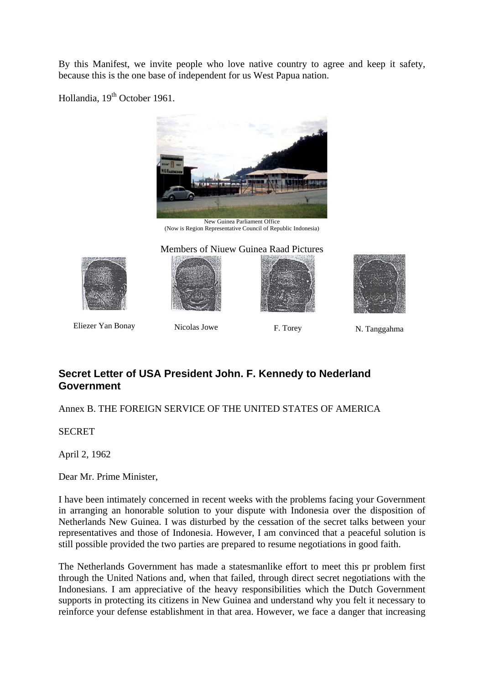By this Manifest, we invite people who love native country to agree and keep it safety, because this is the one base of independent for us West Papua nation.

Hollandia, 19<sup>th</sup> October 1961.



[New Guinea Parliament Office](http://uk.geocities.com/papua_doc/holdia_Bouwterrein_NieuwGuinearaad.jpg)  (Now is Region Representative Council of Republic Indonesia)

Members of Niuew Guinea Raad Pictures







Eliezer Yan Bonay Nicolas Jowe F. Torey N. Tanggahma

# **Secret Letter of USA President John. F. Kennedy to Nederland Government**

Annex B. THE FOREIGN SERVICE OF THE UNITED STATES OF AMERICA

**SECRET** 

April 2, 1962

Dear Mr. Prime Minister,

I have been intimately concerned in recent weeks with the problems facing your Government in arranging an honorable solution to your dispute with Indonesia over the disposition of Netherlands New Guinea. I was disturbed by the cessation of the secret talks between your representatives and those of Indonesia. However, I am convinced that a peaceful solution is still possible provided the two parties are prepared to resume negotiations in good faith.

The Netherlands Government has made a statesmanlike effort to meet this pr problem first through the United Nations and, when that failed, through direct secret negotiations with the Indonesians. I am appreciative of the heavy responsibilities which the Dutch Government supports in protecting its citizens in New Guinea and understand why you felt it necessary to reinforce your defense establishment in that area. However, we face a danger that increasing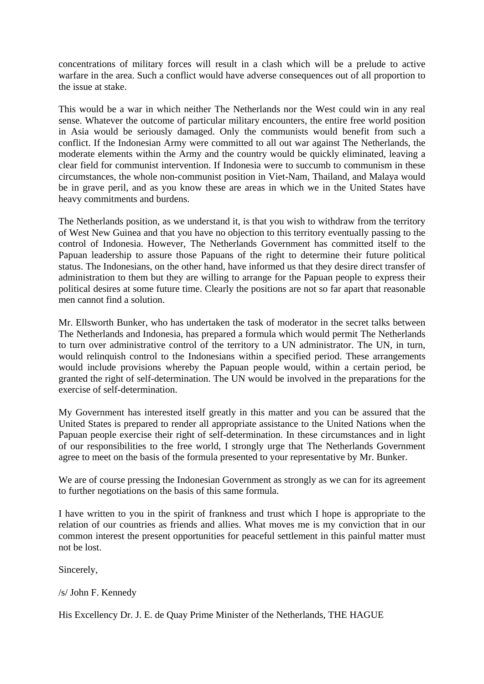concentrations of military forces will result in a clash which will be a prelude to active warfare in the area. Such a conflict would have adverse consequences out of all proportion to the issue at stake.

This would be a war in which neither The Netherlands nor the West could win in any real sense. Whatever the outcome of particular military encounters, the entire free world position in Asia would be seriously damaged. Only the communists would benefit from such a conflict. If the Indonesian Army were committed to all out war against The Netherlands, the moderate elements within the Army and the country would be quickly eliminated, leaving a clear field for communist intervention. If Indonesia were to succumb to communism in these circumstances, the whole non-communist position in Viet-Nam, Thailand, and Malaya would be in grave peril, and as you know these are areas in which we in the United States have heavy commitments and burdens.

The Netherlands position, as we understand it, is that you wish to withdraw from the territory of West New Guinea and that you have no objection to this territory eventually passing to the control of Indonesia. However, The Netherlands Government has committed itself to the Papuan leadership to assure those Papuans of the right to determine their future political status. The Indonesians, on the other hand, have informed us that they desire direct transfer of administration to them but they are willing to arrange for the Papuan people to express their political desires at some future time. Clearly the positions are not so far apart that reasonable men cannot find a solution.

Mr. Ellsworth Bunker, who has undertaken the task of moderator in the secret talks between The Netherlands and Indonesia, has prepared a formula which would permit The Netherlands to turn over administrative control of the territory to a UN administrator. The UN, in turn, would relinquish control to the Indonesians within a specified period. These arrangements would include provisions whereby the Papuan people would, within a certain period, be granted the right of self-determination. The UN would be involved in the preparations for the exercise of self-determination.

My Government has interested itself greatly in this matter and you can be assured that the United States is prepared to render all appropriate assistance to the United Nations when the Papuan people exercise their right of self-determination. In these circumstances and in light of our responsibilities to the free world, I strongly urge that The Netherlands Government agree to meet on the basis of the formula presented to your representative by Mr. Bunker.

We are of course pressing the Indonesian Government as strongly as we can for its agreement to further negotiations on the basis of this same formula.

I have written to you in the spirit of frankness and trust which I hope is appropriate to the relation of our countries as friends and allies. What moves me is my conviction that in our common interest the present opportunities for peaceful settlement in this painful matter must not be lost.

Sincerely,

/s/ John F. Kennedy

His Excellency Dr. J. E. de Quay Prime Minister of the Netherlands, THE HAGUE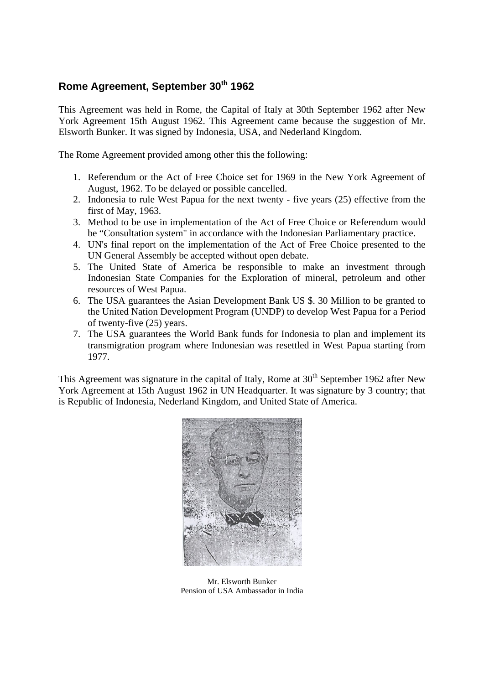# **Rome Agreement, September 30th 1962**

This Agreement was held in Rome, the Capital of Italy at 30th September 1962 after New York Agreement 15th August 1962. This Agreement came because the suggestion of Mr. Elsworth Bunker. It was signed by Indonesia, USA, and Nederland Kingdom.

The Rome Agreement provided among other this the following:

- 1. Referendum or the Act of Free Choice set for 1969 in the New York Agreement of August, 1962. To be delayed or possible cancelled.
- 2. Indonesia to rule West Papua for the next twenty five years (25) effective from the first of May, 1963.
- 3. Method to be use in implementation of the Act of Free Choice or Referendum would be "Consultation system" in accordance with the Indonesian Parliamentary practice.
- 4. UN's final report on the implementation of the Act of Free Choice presented to the UN General Assembly be accepted without open debate.
- 5. The United State of America be responsible to make an investment through Indonesian State Companies for the Exploration of mineral, petroleum and other resources of West Papua.
- 6. The USA guarantees the Asian Development Bank US \$. 30 Million to be granted to the United Nation Development Program (UNDP) to develop West Papua for a Period of twenty-five (25) years.
- 7. The USA guarantees the World Bank funds for Indonesia to plan and implement its transmigration program where Indonesian was resettled in West Papua starting from 1977.

This Agreement was signature in the capital of Italy, Rome at 30<sup>th</sup> September 1962 after New York Agreement at 15th August 1962 in UN Headquarter. It was signature by 3 country; that is Republic of Indonesia, Nederland Kingdom, and United State of America.



Mr. Elsworth Bunker Pension of USA Ambassador in India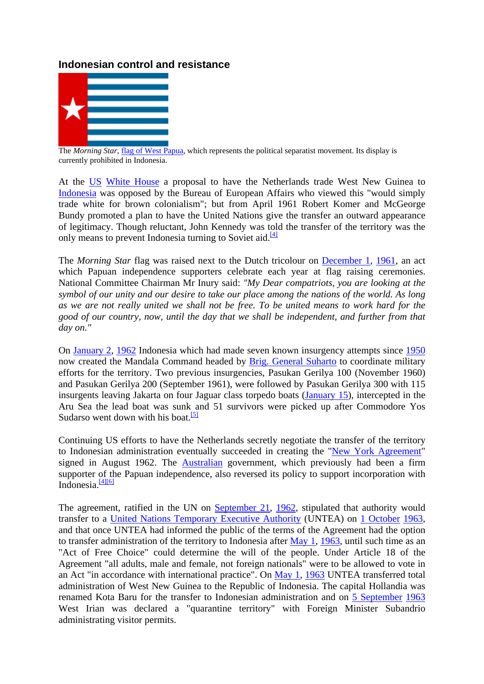### **Indonesian control and resistance**



The *Morning Star*[,](http://en.wikipedia.org/wiki/Image:Flag_of_West_Papua.svg) [flag of West Papua,](http://en.wikipedia.org/wiki/Flag_of_West_Papua) which represents the political separatist movement. Its display is currently prohibited in Indonesia.

At the [US](http://en.wikipedia.org/wiki/United_States) [White House](http://en.wikipedia.org/wiki/White_House) a proposal to have the Netherlands trade West New Guinea to [Indonesia](http://en.wikipedia.org/wiki/Indonesia) was opposed by the Bureau of European Affairs who viewed this "would simply trade white for brown colonialism"; but from April 1961 Robert Komer and McGeorge Bundy promoted a plan to have the United Nations give the transfer an outward appearance of legitimacy. Though reluctant, John Kennedy was told the transfer of the territory was the only means to prevent Indonesia turning to Soviet aid.<sup>[4]</sup>

The *Morning Star* flag was raised next to the Dutch tricolour on [December 1,](http://en.wikipedia.org/wiki/December_1) [1961,](http://en.wikipedia.org/wiki/1961) an act which Papuan independence supporters celebrate each year at flag raising ceremonies. National Committee Chairman Mr Inury said: *"My Dear compatriots, you are looking at the symbol of our unity and our desire to take our place among the nations of the world. As long as we are not really united we shall not be free. To be united means to work hard for the good of our country, now, until the day that we shall be independent, and further from that day on."*

On [January 2,](http://en.wikipedia.org/wiki/January_2) [1962](http://en.wikipedia.org/wiki/1962) Indonesia which had made seven known insurgency attempts since [1950](http://en.wikipedia.org/wiki/1950) now created the Mandala Command headed by [Brig. General Suharto](http://en.wikipedia.org/wiki/Suharto) to coordinate military efforts for the territory. Two previous insurgencies, Pasukan Gerilya 100 (November 1960) and Pasukan Gerilya 200 (September 1961), were followed by Pasukan Gerilya 300 with 115 insurgents leaving Jakarta on four Jaguar class torpedo boats [\(January 15](http://en.wikipedia.org/wiki/January_15)), intercepted in the Aru Sea the lead boat was sunk [an](http://en.wikipedia.org/wiki/Western_New_Guinea#_note-3)d 51 survivors were picked up after Commodore Yos Sudarso went down with his boat.<sup>[\[5\]](http://en.wikipedia.org/wiki/Western_New_Guinea#_note-3)</sup>

Continuing US efforts to have the Netherlands secretly negotiate the transfer of the territory to Indonesian administration eventually succeeded in creating the ["New York Agreement](http://en.wikipedia.org/wiki/New_York_Agreement)" signed in August 1962. The [Australian](http://en.wikipedia.org/wiki/Australia) government, which previously had been a firm supporter of the Papuan independence, also reversed its policy to support incorporation with Indonesia.<sup>[\[4\]](http://en.wikipedia.org/wiki/Western_New_Guinea#_note-UIC)[\[6\]](http://en.wikipedia.org/wiki/Western_New_Guinea#_note-Halcyon)</sup>

The agreement, ratified in the UN on [September 21](http://en.wikipedia.org/wiki/September_21), [1962,](http://en.wikipedia.org/wiki/1962) stipulated that authority would transfer to a [United Nations Temporary Executive Authority](http://en.wikipedia.org/wiki/United_Nations_Temporary_Executive_Authority) (UNTEA) on [1 October](http://en.wikipedia.org/wiki/October_1) [1963](http://en.wikipedia.org/wiki/1963), and that once UNTEA had informed the public of the terms of the Agreement had the option to transfer administration of the territory to Indonesia after [May 1](http://en.wikipedia.org/wiki/May_1), [1963](http://en.wikipedia.org/wiki/1963), until such time as an "Act of Free Choice" could determine the will of the people. Under Article 18 of the Agreement "all adults, male and female, not foreign nationals" were to be allowed to vote in an Act "in accordance with international practice". On [May 1](http://en.wikipedia.org/wiki/May_1), [1963](http://en.wikipedia.org/wiki/1963) UNTEA transferred total administration of West New Guinea to the Republic of Indonesia. The capital Hollandia was renamed Kota Baru for the transfer to Indonesian administration and on [5 September](http://en.wikipedia.org/wiki/September_5) [1963](http://en.wikipedia.org/wiki/1963) West Irian was declared a "quarantine territory" with Foreign Minister Subandrio administrating visitor permits.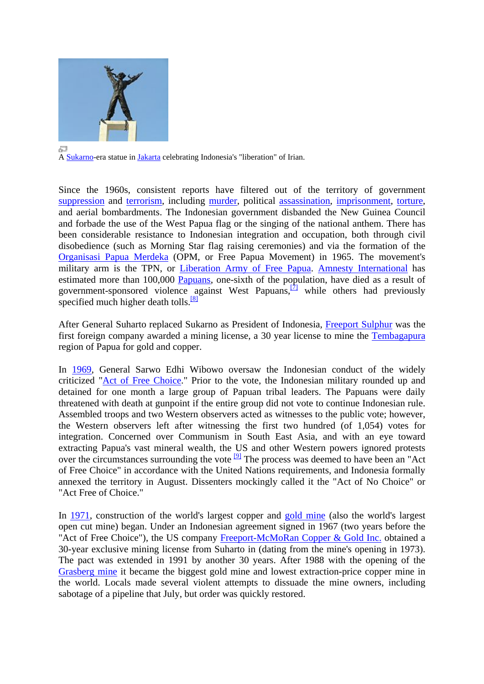

A [Sukarno](http://en.wikipedia.org/wiki/Sukarno)-era statue in [Jakarta](http://en.wikipedia.org/wiki/Jakarta) celebrating Indonesia's "liberation" of Irian.

Since the 1960s, consistent reports have filtered out of the territory of government [suppression](http://en.wikipedia.org/wiki/Suppression) and [terrorism](http://en.wikipedia.org/wiki/Terrorism), including [murder,](http://en.wikipedia.org/wiki/Murder) political [assassination](http://en.wikipedia.org/wiki/Assassination), [imprisonment,](http://en.wikipedia.org/wiki/Imprisonment) [torture,](http://en.wikipedia.org/wiki/Torture) and aerial bombardments. The Indonesian government disbanded the New Guinea Council and forbade the use of the West Papua flag or the singing of the national anthem. There has been considerable resistance to Indonesian integration and occupation, both through civil disobedience (such as Morning Star flag raising ceremonies) and via the formation of the [Organisasi Papua Merdeka](http://en.wikipedia.org/wiki/Organisasi_Papua_Merdeka) (OPM, or Free Papua Movement) in 1965. The movement's military arm is the TPN, or [Liberation Army of Free Papua.](http://en.wikipedia.org/w/index.php?title=Liberation_Army_of_Free_Papua&action=editredlink) [Amnesty International](http://en.wikipedia.org/wiki/Amnesty_International) has estimated more than 100,000 [Papuans](http://en.wikipedia.org/wiki/Papuan_languages), one-sixth of the population, have died as a result of government-sponsored violence [ag](http://en.wikipedia.org/wiki/Western_New_Guinea#_note-5)ainst West Papuans, $\frac{[7]}{[7]}$  while others had previously specified much higher death tolls. $[8]$ 

After General Suharto replaced Sukarno as President of Indonesia, [Freeport Sulphur](http://en.wikipedia.org/wiki/Freeport-McMoRan) was the first foreign company awarded a mining license, a 30 year license to mine the [Tembagapura](http://en.wikipedia.org/w/index.php?title=Tembagapura&action=editredlink) region of Papua for gold and copper.

In [1969,](http://en.wikipedia.org/wiki/1969) General Sarwo Edhi Wibowo oversaw the Indonesian conduct of the widely criticized ["Act of Free Choice.](http://en.wikipedia.org/wiki/Act_of_Free_Choice)" Prior to the vote, the Indonesian military rounded up and detained for one month a large group of Papuan tribal leaders. The Papuans were daily threatened with death at gunpoint if the entire group did not vote to continue Indonesian rule. Assembled troops and two Western observers acted as witnesses to the public vote; however, the Western observers left after witnessing the first two hundred (of 1,054) votes for integration. Concerned over Communism in South East Asia, and with an eye toward extracting Papua's vast mineral wealth, the US and other Western powers ignored protests over the circumstances surrounding the vote <sup>[\[9\]](http://en.wikipedia.org/wiki/Western_New_Guinea#_note-6)</sup> The process was deemed to have been an "Act" of Free Choice" in accordance with the United Nations requirements, and Indonesia formally annexed the territory in August. Dissenters mockingly called it the "Act of No Choice" or "Act Free of Choice."

In [1971,](http://en.wikipedia.org/wiki/1971) construction of the world's largest copper and [gold mine](http://en.wikipedia.org/wiki/Gold_mine) (also the world's largest open cut mine) began. Under an Indonesian agreement signed in 1967 (two years before the "Act of Free Choice"), the US company [Freeport-McMoRan Copper & Gold Inc.](http://en.wikipedia.org/wiki/Freeport-McMoRan) obtained a 30-year exclusive mining license from Suharto in (dating from the mine's opening in 1973). The pact was extended in 1991 by another 30 years. After 1988 with the opening of the [Grasberg mine](http://en.wikipedia.org/wiki/Grasberg_mine) it became the biggest gold mine and lowest extraction-price copper mine in the world. Locals made several violent attempts to dissuade the mine owners, including sabotage of a pipeline that July, but order was quickly restored.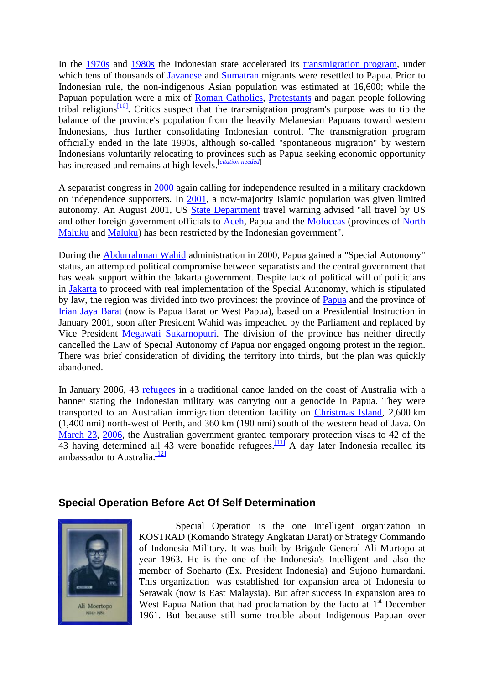In the [1970s](http://en.wikipedia.org/wiki/1970s) and [1980s](http://en.wikipedia.org/wiki/1980s) the Indonesian state accelerated its [transmigration program](http://en.wikipedia.org/wiki/Transmigration_program), under which tens of thousands of [Javanese](http://en.wikipedia.org/wiki/Javanese) and [Sumatran](http://en.wikipedia.org/wiki/Sumatra) migrants were resettled to Papua. Prior to Indonesian rule, the non-indigenous Asian population was estimated at 16,600; while the Papuan population were a mix of [Roman Catholics,](http://en.wikipedia.org/wiki/Catholicism) [Protestants](http://en.wikipedia.org/wiki/Protestantism) and pagan people following tribal religions<sup>[\[10\]](http://en.wikipedia.org/wiki/Western_New_Guinea#_note-7)</sup>. Critics suspect that the transmigration program's purpose was to tip the balance of the province's population from the heavily Melanesian Papuans toward western Indonesians, thus further consolidating Indonesian control. The transmigration program officially ended in the late 1990s, although so-called "spontaneous migration" by western Indonesians voluntarily relocating to provinces such as Papua seeking economic opportunity has increased and remains at high levels.[*[citation needed](http://en.wikipedia.org/wiki/Wikipedia:Citation_needed)*]

A separatist congress in [2000](http://en.wikipedia.org/wiki/2000) again calling for independence resulted in a military crackdown on independence supporters. In [2001,](http://en.wikipedia.org/wiki/2001) a now-majority Islamic population was given limited autonomy. An August 2001, US [State Department](http://en.wikipedia.org/wiki/State_Department) travel warning advised "all travel by US and other foreign government officials to [Aceh](http://en.wikipedia.org/wiki/Aceh), Papua and the [Moluccas](http://en.wikipedia.org/wiki/Moluccas) (provinces of [North](http://en.wikipedia.org/wiki/North_Maluku)  [Maluku](http://en.wikipedia.org/wiki/North_Maluku) and [Maluku\)](http://en.wikipedia.org/wiki/Maluku) has been restricted by the Indonesian government".

During the [Abdurrahman Wahid](http://en.wikipedia.org/wiki/Abdurrahman_Wahid) administration in 2000, Papua gained a "Special Autonomy" status, an attempted political compromise between separatists and the central government that has weak support within the Jakarta government. Despite lack of political will of politicians in [Jakarta](http://en.wikipedia.org/wiki/Jakarta) to proceed with real implementation of the Special Autonomy, which is stipulated by law, the region was divided into two provinces: the province of [Papua](http://en.wikipedia.org/wiki/Papua_%28Indonesian_province%29) and the province of [Irian Jaya Barat](http://en.wikipedia.org/wiki/Irian_Jaya_Barat) (now is Papua Barat or West Papua), based on a Presidential Instruction in January 2001, soon after President Wahid was impeached by the Parliament and replaced by Vice President [Megawati Sukarnoputri.](http://en.wikipedia.org/wiki/Megawati_Sukarnoputri) The division of the province has neither directly cancelled the Law of Special Autonomy of Papua nor engaged ongoing protest in the region. There was brief consideration of dividing the territory into thirds, but the plan was quickly abandoned.

In January 2006, 43 [refugees](http://en.wikipedia.org/wiki/Refugee) in a traditional canoe landed on the coast of Australia with a banner stating the Indonesian military was carrying out a genocide in Papua. They were transported to an Australian immigration detention facility on [Christmas Island](http://en.wikipedia.org/wiki/Christmas_Island), 2,600 km (1,400 nmi) north-west of Perth, and 360 km (190 nmi) south of the western head of Java. On [March 23](http://en.wikipedia.org/wiki/March_23), [2006](http://en.wikipedia.org/wiki/2006), the Australian government granted temporary protection visas to 42 of the  $\overline{43}$  having determined all 43 were bonafide refugees.  $\frac{111}{11}$  A day later Indonesia recalled its ambassador to Australia.<sup>[12]</sup>

#### **Special Operation Before Act Of Self Determination**



Special Operation is the one Intelligent organization in KOSTRAD (Komando Strategy Angkatan Darat) or Strategy Commando of Indonesia Military. It was built by Brigade General Ali Murtopo at year 1963. He is the one of the Indonesia's Intelligent and also the member of Soeharto (Ex. President Indonesia) and Sujono humardani. This organization was established for expansion area of Indonesia to Serawak (now is East Malaysia). But after success in expansion area to West Papua Nation that had proclamation by the facto at  $1<sup>st</sup>$  December 1961. But because still some trouble about Indigenous Papuan over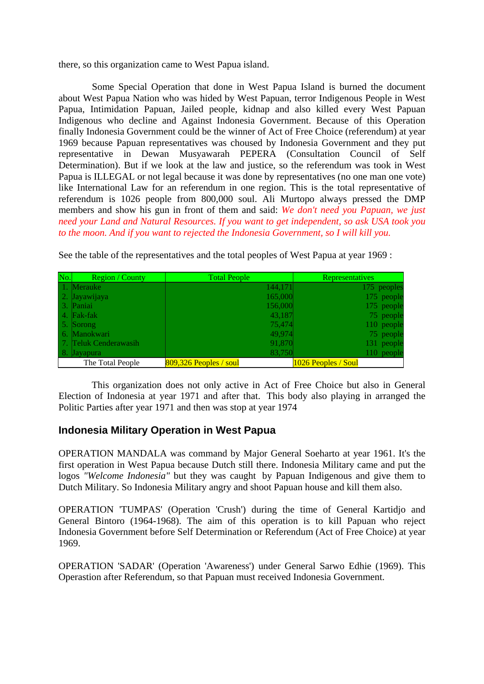there, so this organization came to West Papua island.

 Some Special Operation that done in West Papua Island is burned the document about West Papua Nation who was hided by West Papuan, terror Indigenous People in West Papua, Intimidation Papuan, Jailed people, kidnap and also killed every West Papuan Indigenous who decline and Against Indonesia Government. Because of this Operation finally Indonesia Government could be the winner of Act of Free Choice (referendum) at year 1969 because Papuan representatives was choused by Indonesia Government and they put representative in Dewan Musyawarah PEPERA (Consultation Council of Self Determination). But if we look at the law and justice, so the referendum was took in West Papua is ILLEGAL or not legal because it was done by representatives (no one man one vote) like International Law for an referendum in one region. This is the total representative of referendum is 1026 people from 800,000 soul. Ali Murtopo always pressed the DMP members and show his gun in front of them and said: *We don't need you Papuan, we just need your Land and Natural Resources. If you want to get independent, so ask USA took you to the moon. And if you want to rejected the Indonesia Government, so I will kill you.*

| No. | <b>Region</b> / County | <b>Total People</b>      | Representatives     |
|-----|------------------------|--------------------------|---------------------|
|     | 1. Merauke             | 144,171                  | 175 peoples         |
|     | 2. Jayawijaya          | 165,000                  | 175 people          |
|     | 3. Paniai              | 156,000                  | 175 people          |
|     | 4. Fak-fak             | 43,187                   | 75 people           |
|     | 5. Sorong              | 75,474                   | 110 people          |
|     | 6. Manokwari           | 49.974                   | 75 people           |
|     | 7. Teluk Cenderawasih  | 91,870                   | 131 people          |
|     | 8. Jayapura            | 83,750                   | 110 people          |
|     | The Total People       | $809,326$ Peoples / soul | 1026 Peoples / Soul |

See the table of the representatives and the total peoples of West Papua at year 1969 :

 This organization does not only active in Act of Free Choice but also in General Election of Indonesia at year 1971 and after that. This body also playing in arranged the Politic Parties after year 1971 and then was stop at year 1974

### **Indonesia Military Operation in West Papua**

OPERATION MANDALA was command by Major General Soeharto at year 1961. It's the first operation in West Papua because Dutch still there. Indonesia Military came and put the logos *"Welcome Indonesia"* but they was caught by Papuan Indigenous and give them to Dutch Military. So Indonesia Military angry and shoot Papuan house and kill them also.

OPERATION 'TUMPAS' (Operation 'Crush') during the time of General Kartidjo and General Bintoro (1964-1968). The aim of this operation is to kill Papuan who reject Indonesia Government before Self Determination or Referendum (Act of Free Choice) at year 1969.

OPERATION 'SADAR' (Operation 'Awareness') under General Sarwo Edhie (1969). This Operastion after Referendum, so that Papuan must received Indonesia Government.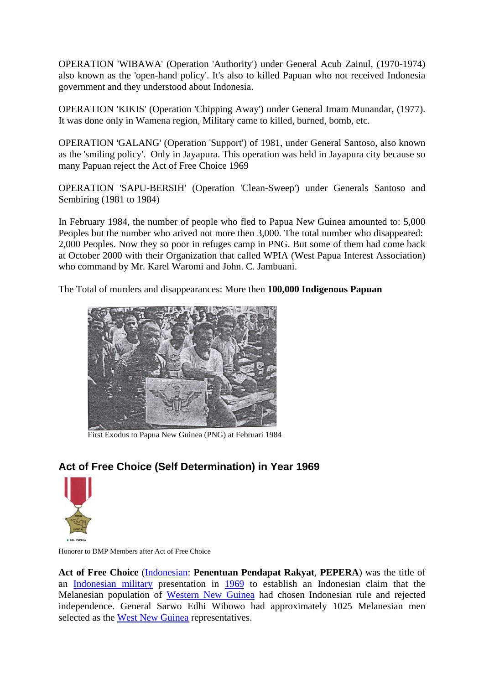OPERATION 'WIBAWA' (Operation 'Authority') under General Acub Zainul, (1970-1974) also known as the 'open-hand policy'. It's also to killed Papuan who not received Indonesia government and they understood about Indonesia.

OPERATION 'KIKIS' (Operation 'Chipping Away') under General Imam Munandar, (1977). It was done only in Wamena region, Military came to killed, burned, bomb, etc.

OPERATION 'GALANG' (Operation 'Support') of 1981, under General Santoso, also known as the 'smiling policy'. Only in Jayapura. This operation was held in Jayapura city because so many Papuan reject the Act of Free Choice 1969

OPERATION 'SAPU-BERSIH' (Operation 'Clean-Sweep') under Generals Santoso and Sembiring (1981 to 1984)

In February 1984, the number of people who fled to Papua New Guinea amounted to: 5,000 Peoples but the number who arived not more then 3,000. The total number who disappeared: 2,000 Peoples. Now they so poor in refuges camp in PNG. But some of them had come back at October 2000 with their Organization that called WPIA (West Papua Interest Association) who command by Mr. Karel Waromi and John. C. Jambuani.

The Total of murders and disappearances: More then **100,000 Indigenous Papuan**



[First Exodus to Papua New Guinea \(PNG\) at Februari 1984](http://uk.geocities.com/papua_doc/EXODUS.jpg)

# **Act of Free Choice (Self Determination) in Year 1969**



Honorer to DMP Members after Act of Free Choice

**Act of Free Choice** [\(Indonesian](http://en.wikipedia.org/wiki/Indonesian_language): **Penentuan Pendapat Rakyat**, **PEPERA**) was the title of an [Indonesian military](http://en.wikipedia.org/wiki/Indonesian_military) presentation in [1969](http://en.wikipedia.org/wiki/1969) to establish an Indonesian claim that the Melanesian population of [Western New Guinea](http://en.wikipedia.org/wiki/Western_New_Guinea) had chosen Indonesian rule and rejected independence. General Sarwo Edhi Wibowo had approximately 1025 Melanesian men selected as the [West New Guinea](http://en.wikipedia.org/wiki/West_New_Guinea) representatives.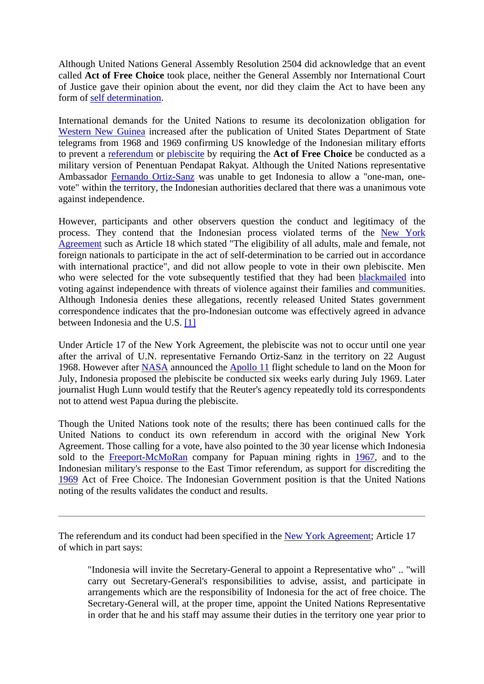Although United Nations General Assembly Resolution 2504 did acknowledge that an event called **Act of Free Choice** took place, neither the General Assembly nor International Court of Justice gave their opinion about the event, nor did they claim the Act to have been any form of [self determination](http://en.wikipedia.org/wiki/Self_determination).

International demands for the United Nations to resume its decolonization obligation for [Western New Guinea](http://en.wikipedia.org/wiki/Western_New_Guinea) increased after the publication of United States Department of State telegrams from 1968 and 1969 confirming US knowledge of the Indonesian military efforts to prevent a [referendum](http://en.wikipedia.org/wiki/Referendum) or [plebiscite](http://en.wikipedia.org/wiki/Plebiscite) by requiring the **Act of Free Choice** be conducted as a military version of Penentuan Pendapat Rakyat. Although the United Nations representative Ambassador [Fernando Ortiz-Sanz](http://en.wikipedia.org/w/index.php?title=Fernando_Ortiz-Sanz&action=edit) was unable to get Indonesia to allow a "one-man, onevote" within the territory, the Indonesian authorities declared that there was a unanimous vote against independence.

However, participants and other observers question the conduct and legitimacy of the process. They contend that the Indonesian process violated terms of the [New York](http://en.wikipedia.org/wiki/New_York_Agreement)  [Agreement](http://en.wikipedia.org/wiki/New_York_Agreement) such as Article 18 which stated "The eligibility of all adults, male and female, not foreign nationals to participate in the act of self-determination to be carried out in accordance with international practice", and did not allow people to vote in their own plebiscite. Men who were selected for the vote subsequently testified that they had been [blackmailed](http://en.wikipedia.org/wiki/Blackmail) into voting against independence with threats of violence against their families and communities. Although Indonesia denies these allegations, recently released United States government correspondence indicates that the pro-Indonesian outcome was effectively agreed in advance between Indonesia and the U.S. [\[1\]](http://www2.gwu.edu/%7Ensarchiv/NSAEBB/NSAEBB128/)

Under Article 17 of the New York Agreement, the plebiscite was not to occur until one year after the arrival of U.N. representative Fernando Ortiz-Sanz in the territory on 22 August 1968. However after [NASA](http://en.wikipedia.org/wiki/NASA) announced the [Apollo 11](http://en.wikipedia.org/wiki/Apollo_11) flight schedule to land on the Moon for July, Indonesia proposed the plebiscite be conducted six weeks early during July 1969. Later journalist Hugh Lunn would testify that the Reuter's agency repeatedly told its correspondents not to attend west Papua during the plebiscite.

Though the United Nations took note of the results; there has been continued calls for the United Nations to conduct its own referendum in accord with the original New York Agreement. Those calling for a vote, have also pointed to the 30 year license which Indonesia sold to the [Freeport-McMoRan](http://en.wikipedia.org/wiki/Freeport-McMoRan) company for Papuan mining rights in [1967](http://en.wikipedia.org/wiki/1967), and to the Indonesian military's response to the East Timor referendum, as support for discrediting the [1969](http://en.wikipedia.org/wiki/1969) Act of Free Choice. The Indonesian Government position is that the United Nations noting of the results validates the conduct and results.

The referendum and its conduct had been specified in the [New York Agreement](http://en.wikipedia.org/wiki/New_York_Agreement); Article 17 of which in part says:

"Indonesia will invite the Secretary-General to appoint a Representative who" .. "will carry out Secretary-General's responsibilities to advise, assist, and participate in arrangements which are the responsibility of Indonesia for the act of free choice. The Secretary-General will, at the proper time, appoint the United Nations Representative in order that he and his staff may assume their duties in the territory one year prior to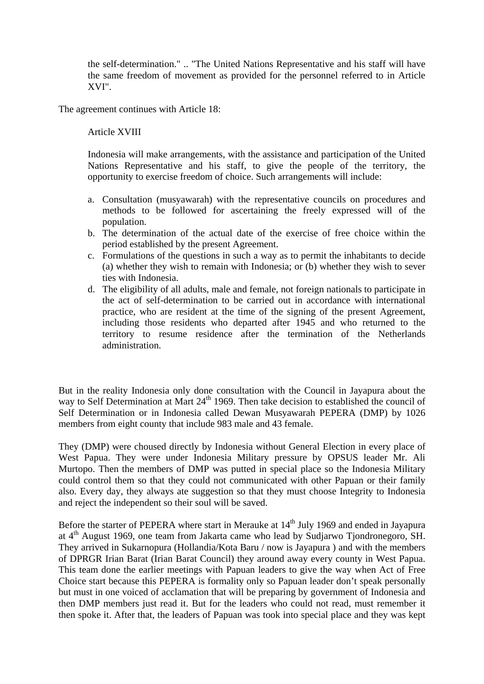the self-determination." .. "The United Nations Representative and his staff will have the same freedom of movement as provided for the personnel referred to in Article XVI".

The agreement continues with Article 18:

#### Article XVIII

Indonesia will make arrangements, with the assistance and participation of the United Nations Representative and his staff, to give the people of the territory, the opportunity to exercise freedom of choice. Such arrangements will include:

- a. Consultation (musyawarah) with the representative councils on procedures and methods to be followed for ascertaining the freely expressed will of the population.
- b. The determination of the actual date of the exercise of free choice within the period established by the present Agreement.
- c. Formulations of the questions in such a way as to permit the inhabitants to decide (a) whether they wish to remain with Indonesia; or (b) whether they wish to sever ties with Indonesia.
- d. The eligibility of all adults, male and female, not foreign nationals to participate in the act of self-determination to be carried out in accordance with international practice, who are resident at the time of the signing of the present Agreement, including those residents who departed after 1945 and who returned to the territory to resume residence after the termination of the Netherlands administration.

But in the reality Indonesia only done consultation with the Council in Jayapura about the way to Self Determination at Mart  $24<sup>th</sup>$  1969. Then take decision to established the council of Self Determination or in Indonesia called Dewan Musyawarah PEPERA (DMP) by 1026 members from eight county that include 983 male and 43 female.

They (DMP) were choused directly by Indonesia without General Election in every place of West Papua. They were under Indonesia Military pressure by OPSUS leader Mr. Ali Murtopo. Then the members of DMP was putted in special place so the Indonesia Military could control them so that they could not communicated with other Papuan or their family also. Every day, they always ate suggestion so that they must choose Integrity to Indonesia and reject the independent so their soul will be saved.

Before the starter of PEPERA where start in Merauke at  $14<sup>th</sup>$  July 1969 and ended in Jayapura at 4th August 1969, one team from Jakarta came who lead by Sudjarwo Tjondronegoro, SH. They arrived in Sukarnopura (Hollandia/Kota Baru / now is Jayapura ) and with the members of DPRGR Irian Barat (Irian Barat Council) they around away every county in West Papua. This team done the earlier meetings with Papuan leaders to give the way when Act of Free Choice start because this PEPERA is formality only so Papuan leader don't speak personally but must in one voiced of acclamation that will be preparing by government of Indonesia and then DMP members just read it. But for the leaders who could not read, must remember it then spoke it. After that, the leaders of Papuan was took into special place and they was kept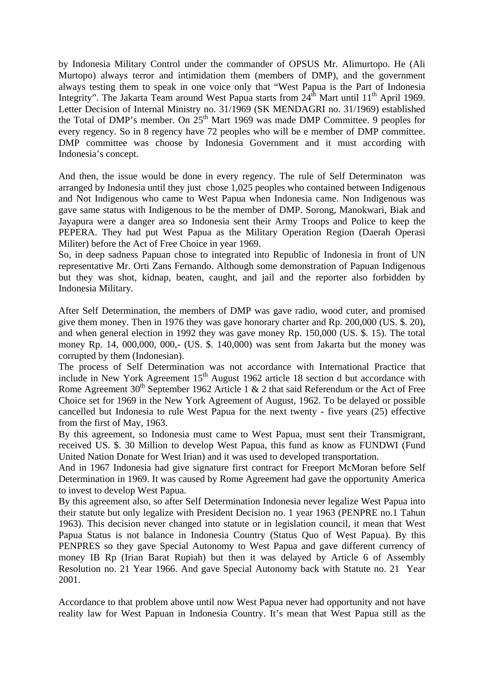by Indonesia Military Control under the commander of OPSUS Mr. Alimurtopo. He (Ali Murtopo) always terror and intimidation them (members of DMP), and the government always testing them to speak in one voice only that "West Papua is the Part of Indonesia Integrity". The Jakarta Team around West Papua starts from  $24<sup>th</sup>$  Mart until  $11<sup>th</sup>$  April 1969. Letter Decision of Internal Ministry no. 31/1969 (SK MENDAGRI no. 31/1969) established the Total of DMP's member. On  $25<sup>th</sup>$  Mart 1969 was made DMP Committee. 9 peoples for every regency. So in 8 regency have 72 peoples who will be e member of DMP committee. DMP committee was choose by Indonesia Government and it must according with Indonesia's concept.

And then, the issue would be done in every regency. The rule of Self Determinaton was arranged by Indonesia until they just chose 1,025 peoples who contained between Indigenous and Not Indigenous who came to West Papua when Indonesia came. Non Indigenous was gave same status with Indigenous to be the member of DMP. Sorong, Manokwari, Biak and Jayapura were a danger area so Indonesia sent their Army Troops and Police to keep the PEPERA. They had put West Papua as the Military Operation Region (Daerah Operasi Militer) before the Act of Free Choice in year 1969.

So, in deep sadness Papuan chose to integrated into Republic of Indonesia in front of UN representative Mr. Orti Zans Fernando. Although some demonstration of Papuan Indigenous but they was shot, kidnap, beaten, caught, and jail and the reporter also forbidden by Indonesia Military.

After Self Determination, the members of DMP was gave radio, wood cuter, and promised give them money. Then in 1976 they was gave honorary charter and Rp. 200,000 (US. \$. 20), and when general election in 1992 they was gave money Rp. 150,000 (US. \$. 15). The total money Rp. 14, 000,000, 000,- (US. \$. 140,000) was sent from Jakarta but the money was corrupted by them (Indonesian).

The process of Self Determination was not accordance with International Practice that include in New York Agreement  $15<sup>th</sup>$  August 1962 article 18 section d but accordance with Rome Agreement  $30<sup>th</sup>$  September 1962 Article 1 & 2 that said Referendum or the Act of Free Choice set for 1969 in the New York Agreement of August, 1962. To be delayed or possible cancelled but Indonesia to rule West Papua for the next twenty - five years (25) effective from the first of May, 1963.

By this agreement, so Indonesia must came to West Papua, must sent their Transmigrant, received US. \$. 30 Million to develop West Papua, this fund as know as FUNDWI (Fund United Nation Donate for West Irian) and it was used to developed transportation.

And in 1967 Indonesia had give signature first contract for Freeport McMoran before Self Determination in 1969. It was caused by Rome Agreement had gave the opportunity America to invest to develop West Papua.

By this agreement also, so after Self Determination Indonesia never legalize West Papua into their statute but only legalize with President Decision no. 1 year 1963 (PENPRE no.1 Tahun 1963). This decision never changed into statute or in legislation council, it mean that West Papua Status is not balance in Indonesia Country (Status Quo of West Papua). By this PENPRES so they gave Special Autonomy to West Papua and gave different currency of money IB Rp (Irian Barat Rupiah) but then it was delayed by Article 6 of Assembly Resolution no. 21 Year 1966. And gave Special Autonomy back with Statute no. 21 Year 2001.

Accordance to that problem above until now West Papua never had opportunity and not have reality law for West Papuan in Indonesia Country. It's mean that West Papua still as the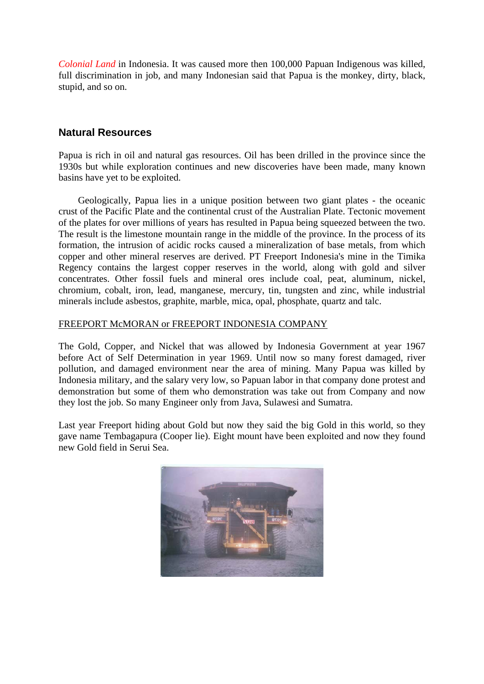*Colonial Land* in Indonesia. It was caused more then 100,000 Papuan Indigenous was killed, full discrimination in job, and many Indonesian said that Papua is the monkey, dirty, black, stupid, and so on.

### **Natural Resources**

Papua is rich in oil and natural gas resources. Oil has been drilled in the province since the 1930s but while exploration continues and new discoveries have been made, many known basins have yet to be exploited.

 Geologically, Papua lies in a unique position between two giant plates - the oceanic crust of the Pacific Plate and the continental crust of the Australian Plate. Tectonic movement of the plates for over millions of years has resulted in Papua being squeezed between the two. The result is the limestone mountain range in the middle of the province. In the process of its formation, the intrusion of acidic rocks caused a mineralization of base metals, from which copper and other mineral reserves are derived. PT Freeport Indonesia's mine in the Timika Regency contains the largest copper reserves in the world, along with gold and silver concentrates. Other fossil fuels and mineral ores include coal, peat, aluminum, nickel, chromium, cobalt, iron, lead, manganese, mercury, tin, tungsten and zinc, while industrial minerals include asbestos, graphite, marble, mica, opal, phosphate, quartz and talc.

#### FREEPORT McMORAN or FREEPORT INDONESIA COMPANY

The Gold, Copper, and Nickel that was allowed by Indonesia Government at year 1967 before Act of Self Determination in year 1969. Until now so many forest damaged, river pollution, and damaged environment near the area of mining. Many Papua was killed by Indonesia military, and the salary very low, so Papuan labor in that company done protest and demonstration but some of them who demonstration was take out from Company and now they lost the job. So many Engineer only from Java, Sulawesi and Sumatra.

Last year Freeport hiding about Gold but now they said the big Gold in this world, so they gave name Tembagapura (Cooper lie). Eight mount have been exploited and now they found new Gold field in Serui Sea.

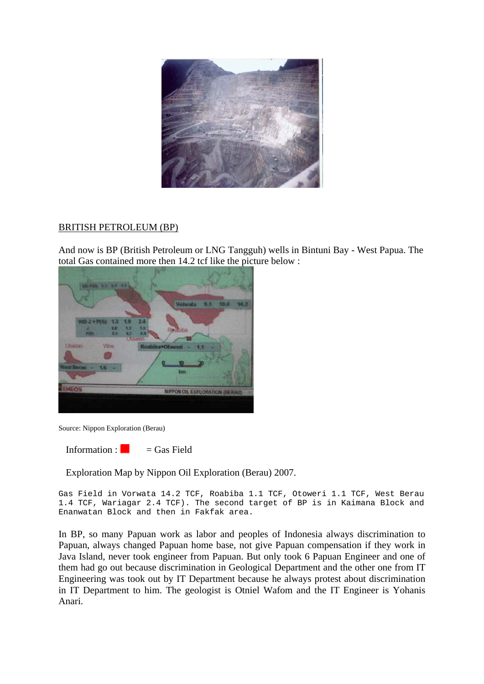

#### BRITISH PETROLEUM (BP)

And now is BP (British Petroleum or LNG Tangguh) wells in Bintuni Bay - West Papua. The total Gas contained more then 14.2 tcf like the picture below :



Source: Nippon Exploration (Berau)

Information :  $\Box$  = Gas Field

Exploration Map by Nippon Oil Exploration (Berau) 2007.

Gas Field in Vorwata 14.2 TCF, Roabiba 1.1 TCF, Otoweri 1.1 TCF, West Berau 1.4 TCF, Wariagar 2.4 TCF). The second target of BP is in Kaimana Block and Enanwatan Block and then in Fakfak area.

In BP, so many Papuan work as labor and peoples of Indonesia always discrimination to Papuan, always changed Papuan home base, not give Papuan compensation if they work in Java Island, never took engineer from Papuan. But only took 6 Papuan Engineer and one of them had go out because discrimination in Geological Department and the other one from IT Engineering was took out by IT Department because he always protest about discrimination in IT Department to him. The geologist is Otniel Wafom and the IT Engineer is Yohanis Anari.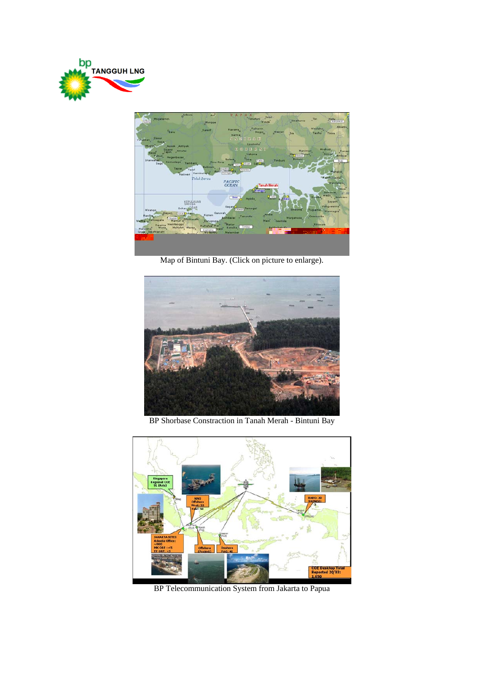



[Map of Bintuni Bay. \(Click on picture to enlarge\).](http://www.geocities.com/west_papua/bintuni_bay.jpg)



[BP Shorbase Constraction in Tanah Merah - Bintuni Bay](http://www.geocities.com/west_papua/Combo.jpg)



[BP Telecommunication System from Jakarta to Papua](http://www.geocities.com/west_papua/Bp_project.jpg)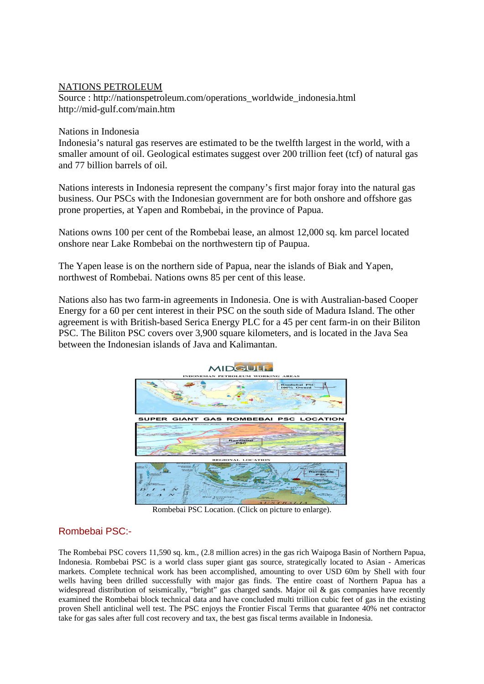#### NATIONS PETROLEUM

Source : http://nationspetroleum.com/operations\_worldwide\_indonesia.html http://mid-gulf.com/main.htm

#### Nations in Indonesia

Indonesia's natural gas reserves are estimated to be the twelfth largest in the world, with a smaller amount of oil. Geological estimates suggest over 200 trillion feet (tcf) of natural gas and 77 billion barrels of oil.

Nations interests in Indonesia represent the company's first major foray into the natural gas business. Our PSCs with the Indonesian government are for both onshore and offshore gas prone properties, at Yapen and Rombebai, in the province of Papua.

Nations owns 100 per cent of the Rombebai lease, an almost 12,000 sq. km parcel located onshore near Lake Rombebai on the northwestern tip of Paupua.

The Yapen lease is on the northern side of Papua, near the islands of Biak and Yapen, northwest of Rombebai. Nations owns 85 per cent of this lease.

Nations also has two farm-in agreements in Indonesia. One is with Australian-based Cooper Energy for a 60 per cent interest in their PSC on the south side of Madura Island. The other agreement is with British-based Serica Energy PLC for a 45 per cent farm-in on their Biliton PSC. The Biliton PSC covers over 3,900 square kilometers, and is located in the Java Sea between the Indonesian islands of Java and Kalimantan.



[Rombebai PSC Location. \(Click on picture to enlarge\).](http://www.geocities.com/west_papua/Rombebai_PSC_Location.jpg)

### Rombebai PSC:-

The Rombebai PSC covers 11,590 sq. km., (2.8 million acres) in the gas rich Waipoga Basin of Northern Papua, Indonesia. Rombebai PSC is a world class super giant gas source, strategically located to Asian - Americas markets. Complete technical work has been accomplished, amounting to over USD 60m by Shell with four wells having been drilled successfully with major gas finds. The entire coast of Northern Papua has a widespread distribution of seismically, "bright" gas charged sands. Major oil & gas companies have recently examined the Rombebai block technical data and have concluded multi trillion cubic feet of gas in the existing proven Shell anticlinal well test. The PSC enjoys the Frontier Fiscal Terms that guarantee 40% net contractor take for gas sales after full cost recovery and tax, the best gas fiscal terms available in Indonesia.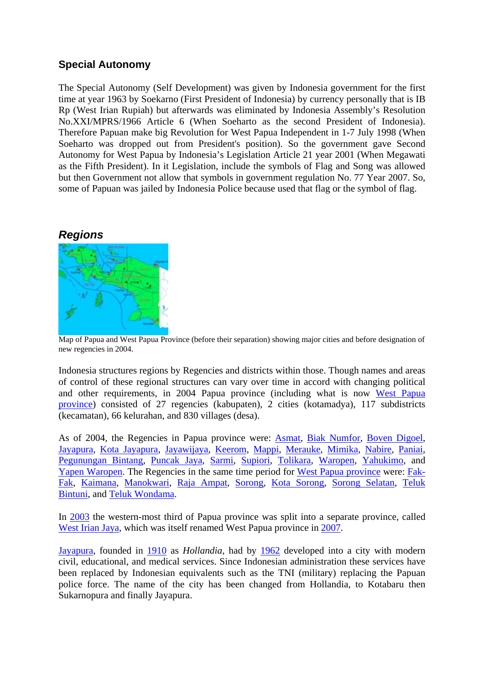# **Special Autonomy**

The Special Autonomy (Self Development) was given by Indonesia government for the first time at year 1963 by Soekarno (First President of Indonesia) by currency personally that is IB Rp (West Irian Rupiah) but afterwards was eliminated by Indonesia Assembly's Resolution No.XXI/MPRS/1966 Article 6 (When Soeharto as the second President of Indonesia). Therefore Papuan make big Revolution for West Papua Independent in 1-7 July 1998 (When Soeharto was dropped out from President's position). So the government gave Second Autonomy for West Papua by Indonesia's Legislation Article 21 year 2001 (When Megawati as the Fifth President). In it Legislation, include the symbols of Flag and Song was allowed but then Government not allow that symbols in government regulation No. 77 Year 2007. So, some of Papuan was jailed by Indonesia Police because used that flag or the symbol of flag.

# *Regions*



[Map of Papua and West Papua Pro](http://en.wikipedia.org/wiki/Image:Westpapua1.png)vince (before their separation) showing major cities and before designation of new regencies in 2004.

Indonesia structures regions by Regencies and districts within those. Though names and areas of control of these regional structures can vary over time in accord with changing political and other requirements, in 2004 Papua province (including what is now [West Papua](http://en.wikipedia.org/wiki/West_Papua_%28province%29)  [province](http://en.wikipedia.org/wiki/West_Papua_%28province%29)) consisted of 27 regencies (kabupaten), 2 cities (kotamadya), 117 subdistricts (kecamatan), 66 kelurahan, and 830 villages (desa).

As of 2004, the Regencies in Papua province were: **[Asmat,](http://en.wikipedia.org/wiki/Asmat_Regency) [Biak Numfor](http://en.wikipedia.org/w/index.php?title=Biak_Numfor&action=editredlink), [Boven Digoel](http://en.wikipedia.org/w/index.php?title=Boven_Digoel&action=editredlink),** [Jayapura,](http://en.wikipedia.org/wiki/Jayapura) [Kota Jayapura](http://en.wikipedia.org/w/index.php?title=Kota_Jayapura&action=editredlink), [Jayawijaya](http://en.wikipedia.org/w/index.php?title=Jayawijaya&action=editredlink), [Keerom](http://en.wikipedia.org/w/index.php?title=Keerom&action=editredlink), [Mappi](http://en.wikipedia.org/w/index.php?title=Mappi&action=editredlink), [Merauke](http://en.wikipedia.org/wiki/Merauke), [Mimika,](http://en.wikipedia.org/w/index.php?title=Mimika&action=editredlink) [Nabire,](http://en.wikipedia.org/w/index.php?title=Nabire&action=editredlink) [Paniai](http://en.wikipedia.org/w/index.php?title=Paniai&action=editredlink), [Pegunungan Bintang,](http://en.wikipedia.org/w/index.php?title=Pegunungan_Bintang&action=editredlink) [Puncak Jaya,](http://en.wikipedia.org/wiki/Puncak_Jaya) [Sarmi](http://en.wikipedia.org/w/index.php?title=Sarmi&action=editredlink), [Supiori](http://en.wikipedia.org/wiki/Supiori), [Tolikara,](http://en.wikipedia.org/w/index.php?title=Tolikara&action=editredlink) [Waropen](http://en.wikipedia.org/w/index.php?title=Waropen&action=editredlink), [Yahukimo](http://en.wikipedia.org/w/index.php?title=Yahukimo&action=editredlink), and [Yapen Waropen.](http://en.wikipedia.org/w/index.php?title=Yapen_Waropen&action=editredlink) The Regencies in the same time period for [West Papua province](http://en.wikipedia.org/wiki/Papua_Barat) were: [Fak-](http://en.wikipedia.org/w/index.php?title=Fakfak&action=editredlink)[Fak](http://en.wikipedia.org/w/index.php?title=Fakfak&action=editredlink), [Kaimana](http://en.wikipedia.org/w/index.php?title=Kaimana&action=editredlink), [Manokwari](http://en.wikipedia.org/wiki/Manokwari), [Raja Ampat,](http://en.wikipedia.org/wiki/Raja_Ampat) [Sorong](http://en.wikipedia.org/wiki/Sorong), [Kota Sorong,](http://en.wikipedia.org/w/index.php?title=Kota_Sorong&action=editredlink) [Sorong Selatan,](http://en.wikipedia.org/w/index.php?title=Sorong_Selatan&action=editredlink) [Teluk](http://en.wikipedia.org/w/index.php?title=Teluk_Bintuni&action=editredlink)  [Bintuni](http://en.wikipedia.org/w/index.php?title=Teluk_Bintuni&action=editredlink), and [Teluk Wondama.](http://en.wikipedia.org/w/index.php?title=Teluk_Wondama&action=editredlink)

In [2003](http://en.wikipedia.org/wiki/2003) the western-most third of Papua province was split into a separate province, called [West Irian Jaya,](http://en.wikipedia.org/wiki/Papua_Barat) which was itself renamed West Papua province in [2007](http://en.wikipedia.org/wiki/2007).

[Jayapura,](http://en.wikipedia.org/wiki/Jayapura) founded in [1910](http://en.wikipedia.org/wiki/1910) as *Hollandia*, had by [1962](http://en.wikipedia.org/wiki/1962) developed into a city with modern civil, educational, and medical services. Since Indonesian administration these services have been replaced by Indonesian equivalents such as the TNI (military) replacing the Papuan police force. The name of the city has been changed from Hollandia, to Kotabaru then Sukarnopura and finally Jayapura.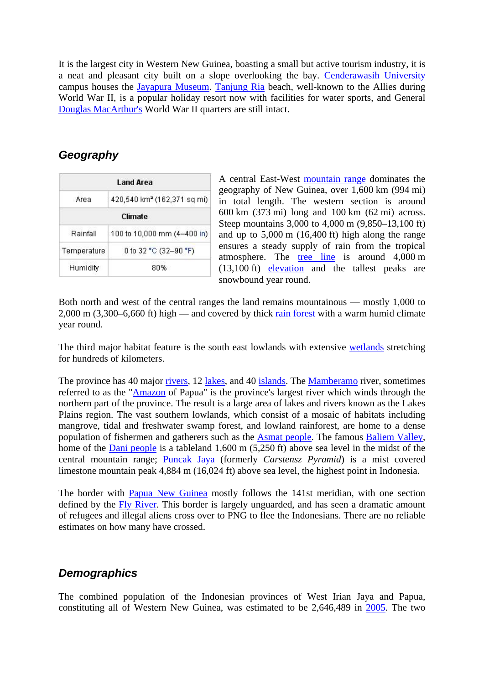It is the largest city in Western New Guinea, boasting a small but active tourism industry, it is a neat and pleasant city built on a slope overlooking the bay. [Cenderawasih University](http://en.wikipedia.org/wiki/Cenderawasih_University) campus houses the [Jayapura Museum.](http://en.wikipedia.org/w/index.php?title=Jayapura_Museum&action=editredlink) [Tanjung Ria](http://en.wikipedia.org/w/index.php?title=Tanjung_Ria&action=editredlink) beach, well-known to the Allies during World War II, is a popular holiday resort now with facilities for water sports, and General [Douglas MacArthur's](http://en.wikipedia.org/wiki/Douglas_MacArthur) World War II quarters are still intact.

# *Geography*

| Land Area                            |                                         |  |  |  |
|--------------------------------------|-----------------------------------------|--|--|--|
| Area                                 | 420,540 km <sup>2</sup> (162,371 sq mi) |  |  |  |
|                                      | Climate                                 |  |  |  |
| Rainfall                             | 100 to 10,000 mm (4-400 in)             |  |  |  |
| Temperature<br>0 to 32 °C (32–90 °F) |                                         |  |  |  |
| Humidity                             | 80%                                     |  |  |  |

A central East-West [mountain range](http://en.wikipedia.org/wiki/Mountain_range) dominates the geography of New Guinea, over 1,600 km (994 mi) in total length. The western section is around 600 km (373 mi) long and 100 km (62 mi) across. Steep mountains 3,000 to 4,000 m (9,850–13,100 ft) and up to 5,000 m (16,400 ft) high along the range ensures a steady supply of rain from the tropical atmosphere. The [tree line](http://en.wikipedia.org/wiki/Tree_line) is around 4,000 m (13,100 ft) [elevation](http://en.wikipedia.org/wiki/Elevation) and the tallest peaks are snowbound year round.

Both north and west of the central ranges the land remains mountainous — mostly 1,000 to 2,000 m (3,300–6,660 ft) high — and covered by thick [rain forest](http://en.wikipedia.org/wiki/Rain_forest) with a warm humid climate year round.

The third major habitat feature is the south east lowlands with extensive [wetlands](http://en.wikipedia.org/wiki/Wetland) stretching for hundreds of kilometers.

The province has 40 major [rivers](http://en.wikipedia.org/wiki/River), 12 [lakes,](http://en.wikipedia.org/wiki/Lake) and 40 [islands](http://en.wikipedia.org/wiki/Island). The [Mamberamo](http://en.wikipedia.org/wiki/Mamberamo) river, sometimes referred to as the ["Amazon](http://en.wikipedia.org/wiki/Amazon_River) of Papua" is the province's largest river which winds through the northern part of the province. The result is a large area of lakes and rivers known as the Lakes Plains region. The vast southern lowlands, which consist of a mosaic of habitats including mangrove, tidal and freshwater swamp forest, and lowland rainforest, are home to a dense population of fishermen and gatherers such as the [Asmat people](http://en.wikipedia.org/wiki/Asmat_people). The famous [Baliem Valley,](http://en.wikipedia.org/wiki/Baliem_Valley) home of the [Dani people](http://en.wikipedia.org/wiki/Dani_people) is a tableland 1,600 m (5,250 ft) above sea level in the midst of the central mountain range; [Puncak Jaya](http://en.wikipedia.org/wiki/Puncak_Jaya) (formerly *Carstensz Pyramid*) is a mist covered limestone mountain peak 4,884 m (16,024 ft) above sea level, the highest point in Indonesia.

The border with [Papua New Guinea](http://en.wikipedia.org/wiki/Papua_New_Guinea) mostly follows the 141st meridian, with one section defined by the [Fly River.](http://en.wikipedia.org/wiki/Fly_River) This border is largely unguarded, and has seen a dramatic amount of refugees and illegal aliens cross over to PNG to flee the Indonesians. There are no reliable estimates on how many have crossed.

# *Demographics*

The combined population of the Indonesian provinces of West Irian Jaya and Papua, constituting all of Western New Guinea, was estimated to be 2,646,489 in [2005](http://en.wikipedia.org/wiki/2005). The two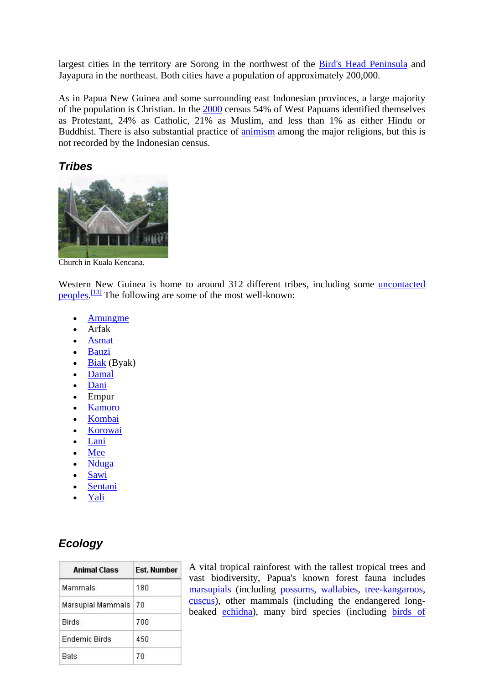largest cities in the territory are Sorong in the northwest of the [Bird's Head Peninsula](http://en.wikipedia.org/wiki/Bird%27s_Head_Peninsula) and Jayapura in the northeast. Both cities have a population of approximately 200,000.

As in Papua New Guinea and some surrounding east Indonesian provinces, a large majority of the population is Christian. In the [2000](http://en.wikipedia.org/wiki/2000) census 54% of West Papuans identified themselves as Protestant, 24% as Catholic, 21% as Muslim, and less than 1% as either Hindu or Buddhist. There is also substantial practice of [animism](http://en.wikipedia.org/wiki/Animism) among the major religions, but this is not recorded by the Indonesian census.

# *Tribes*



[Church in Kuala Kencana.](http://en.wikipedia.org/wiki/Image:Church_in_kualakencana2.png) 

Western New Guinea is home to around 312 different tribes, including some [uncontacted](http://en.wikipedia.org/wiki/Uncontacted_peoples)  [peoples.](http://en.wikipedia.org/wiki/Uncontacted_peoples)<sup>[13]</sup> The following are some of the most well-known:

- [Amungme](http://en.wikipedia.org/wiki/Amungme)
- Arfak
- [Asmat](http://en.wikipedia.org/wiki/Asmat_people)
- [Bauzi](http://en.wikipedia.org/wiki/Bauzi)
- $\bullet$  [Biak](http://en.wikipedia.org/w/index.php?title=Biak_people&action=editredlink) (Byak)
- [Damal](http://en.wikipedia.org/w/index.php?title=Damal_people&action=editredlink)
- [Dani](http://en.wikipedia.org/wiki/Dani_%28ethnic_group%29)
- Empur
- [Kamoro](http://en.wikipedia.org/w/index.php?title=Kamoro&action=editredlink)
- [Kombai](http://en.wikipedia.org/wiki/Kombai_people)
- [Korowai](http://en.wikipedia.org/wiki/Korowai)
- [Lani](http://en.wikipedia.org/wiki/Lani_%28ethnic_group%29)
- [Mee](http://en.wikipedia.org/wiki/Mee_%28tribe%29)
- [Nduga](http://en.wikipedia.org/w/index.php?title=Nduga&action=editredlink)
- [Sawi](http://en.wikipedia.org/wiki/Sawi)
- **[Sentani](http://en.wikipedia.org/w/index.php?title=Sentani_people&action=editredlink)**
- [Yali](http://en.wikipedia.org/w/index.php?title=Yali_people&action=editredlink)

# *Ecology*

| <b>Animal Class</b>  | <b>Fst. Number</b> |
|----------------------|--------------------|
| Mammals              | 180                |
| Marsupial Mammals    | 70                 |
| <b>Birds</b>         | 700                |
| <b>Endemic Birds</b> | 450                |
| <b>Bats</b>          | 70                 |

A vital tropical rainforest with the tallest tropical trees and vast biodiversity, Papua's known forest fauna includes [marsupials](http://en.wikipedia.org/wiki/Marsupials) (including [possums](http://en.wikipedia.org/wiki/Possum), [wallabies,](http://en.wikipedia.org/wiki/Wallaby) [tree-kangaroos,](http://en.wikipedia.org/wiki/Tree-kangaroo) [cuscus\)](http://en.wikipedia.org/w/index.php?title=Cuscus&action=editredlink), other mammals (including the endangered longbeaked [echidna\)](http://en.wikipedia.org/wiki/Echidna), many bird species (including [birds of](http://en.wikipedia.org/wiki/Birds_of_paradise)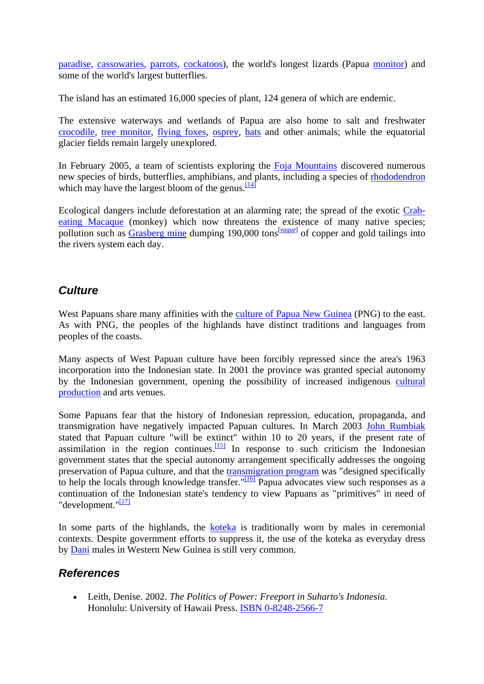[paradise,](http://en.wikipedia.org/wiki/Birds_of_paradise) [cassowaries](http://en.wikipedia.org/wiki/Cassowary), [parrots](http://en.wikipedia.org/wiki/Parrot), [cockatoos](http://en.wikipedia.org/wiki/Cockatoo)), the world's longest lizards (Papua [monitor](http://en.wikipedia.org/wiki/Monitor_lizard)) and some of the world's largest butterflies.

The island has an estimated 16,000 species of plant, 124 genera of which are endemic.

The extensive waterways and wetlands of Papua are also home to salt and freshwater [crocodile,](http://en.wikipedia.org/wiki/Crocodile) [tree monitor,](http://en.wikipedia.org/w/index.php?title=Tree_monitor&action=editredlink) [flying foxes,](http://en.wikipedia.org/wiki/Megabat) [osprey,](http://en.wikipedia.org/wiki/Osprey) [bats](http://en.wikipedia.org/wiki/Bats) and other animals; while the equatorial glacier fields remain largely unexplored.

In February 2005, a team of scientists exploring the [Foja Mountains](http://en.wikipedia.org/wiki/Foja_Mountains) discovered numerous new species of birds, butterflies, amphibians, and [p](http://en.wikipedia.org/wiki/Western_New_Guinea#_note-11)lants, including a species of [rhododendron](http://en.wikipedia.org/wiki/Rhododendron) which may have the largest bloom of the genus.  $\frac{14}{14}$ 

Ecological dangers include deforestation at an alarming rate; the spread of the exotic [Crab](http://en.wikipedia.org/wiki/Crab-eating_Macaque)[eating Macaque](http://en.wikipedia.org/wiki/Crab-eating_Macaque) (monkey) which now threatens the existence of many native species; pollution such as [Grasberg mine](http://en.wikipedia.org/wiki/Grasberg_mine) dumping 190,000 tons<sup>[*[vague](http://en.wikipedia.org/wiki/Wikipedia:Manual_of_Style)*]</sup> of copper and gold tailings into the rivers system each day.

# *Culture*

West Papuans share many affinities with the [culture of Papua New Guinea](http://en.wikipedia.org/wiki/Culture_of_Papua_New_Guinea) (PNG) to the east. As with PNG, the peoples of the highlands have distinct traditions and languages from peoples of the coasts.

Many aspects of West Papuan culture have been forcibly repressed since the area's 1963 incorporation into the Indonesian state. In 2001 the province was granted special autonomy by the Indonesian government, opening the possibility of increased indigenous [cultural](http://en.wikipedia.org/wiki/Creative_industries)  [production](http://en.wikipedia.org/wiki/Creative_industries) and arts venues.

Some Papuans fear that the history of Indonesian repression, education, propaganda, and transmigration have negatively impacted Papuan cultures. In March 2003 [John Rumbiak](http://en.wikipedia.org/wiki/John_Rumbiak) stated that Papuan culture "will be extinct" within 10 to 20 years, if the present rate of assimilation in the region continues.<sup>[15]</sup> In response to such criticism the Indonesian government states that the special autonomy arrangement specifically addresses the ongoing preservation of Papua culture, and that the [transmigration program](http://en.wikipedia.org/wiki/Transmigration_program) was "designed specifically to help the locals through knowledge transfer."<sup>[\[16\]](http://en.wikipedia.org/wiki/Western_New_Guinea#_note-13)</sup> Papua advocates view such responses as a continuation of t[he](http://en.wikipedia.org/wiki/Western_New_Guinea#_note-14) Indonesian state's tendency to view Papuans as "primitives" in need of "development."<sup>[\[17\]](http://en.wikipedia.org/wiki/Western_New_Guinea#_note-14)</sup>

In some parts of the highlands, the [koteka](http://en.wikipedia.org/wiki/Koteka) is traditionally worn by males in ceremonial contexts. Despite government efforts to suppress it, the use of the koteka as everyday dress by [Dani](http://en.wikipedia.org/wiki/Dani_people) males in Western New Guinea is still very common.

# *References*

• Leith, Denise. 2002. *The Politics of Power: Freeport in Suharto's Indonesia.* Honolulu: University of Hawaii Press. [ISBN 0-8248-2566-7](http://en.wikipedia.org/w/index.php?title=Special:Booksources&isbn=0824825667)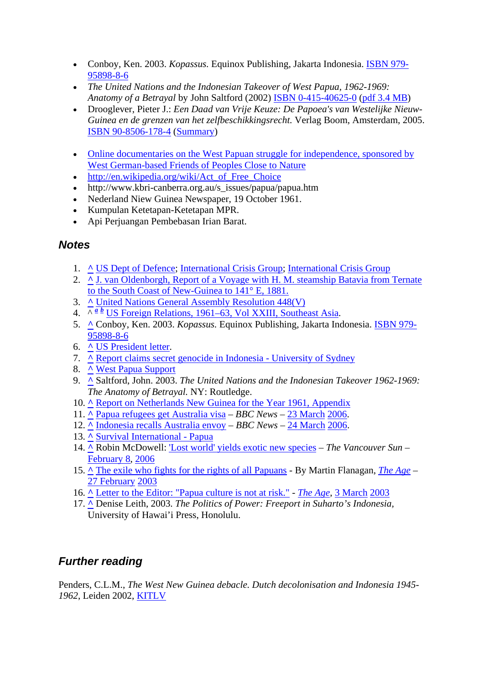- Conboy, Ken. 2003. *Kopassus.* Equinox Publishing, Jakarta Indonesia. [ISBN 979-](http://en.wikipedia.org/w/index.php?title=Special:Booksources&isbn=9799589886) [95898-8-6](http://en.wikipedia.org/w/index.php?title=Special:Booksources&isbn=9799589886)
- *The United Nations and the Indonesian Takeover of West Papua, 1962-1969: Anatomy of a Betrayal* by John Saltford (2002) [ISBN 0-415-40625-0](http://en.wikipedia.org/w/index.php?title=Special:Booksources&isbn=0415406250) ([pdf 3.4 MB\)](http://www.freewestpapua.org/docs/saltford.htm)
- Drooglever, Pieter J.: *Een Daad van Vrije Keuze: De Papoea's van Westelijke Nieuw-Guinea en de grenzen van het zelfbeschikkingsrecht.* Verlag Boom, Amsterdam, 2005. [ISBN 90-8506-178-4](http://en.wikipedia.org/w/index.php?title=Special:Booksources&isbn=9085061784) [\(Summary\)](http://tapol.gn.apc.org/reports/droogleverengsum.htm)
- Online documentaries on the West Papuan struggle for independence, sponsored by [West German-based Friends of Peoples Close to Nature](http://www.fpcn-global.org/index.php?module=htmlpages&func=display&pid=1)
- [http://en.wikipedia.org/wiki/Act\\_of\\_Free\\_Choice](http://en.wikipedia.org/wiki/Act_of_Free_Choice)
- http://www.kbri-canberra.org.au/s\_issues/papua/papua.htm
- Nederland Niew Guinea Newspaper, 19 October 1961.
- Kumpulan Ketetapan-Ketetapan MPR.
- Api Perjuangan Pembebasan Irian Barat.

# *Notes*

- 1. **[^](http://en.wikipedia.org/wiki/Western_New_Guinea#_ref-0)** [US Dept of Defence;](http://stinet.dtic.mil/oai/oai?&verb=getRecord&metadataPrefix=html&identifier=ADA462594) [International Crisis Group;](http://www.crisisgroup.org/home/index.cfm?id=1764&l=1) [International Crisis Group](http://www.crisisgroup.org/home/index.cfm?id=4364&l=1)
- 2. **[^](http://en.wikipedia.org/wiki/Western_New_Guinea#_ref-1)** [J. van Oldenborgh, Report of a Voyage with H. M. steamship Batavia from Ternate](http://www.xs4all.nl/%7Egjvo/papoea/)  [to the South Coast of New-Guinea to 141° E, 1881.](http://www.xs4all.nl/%7Egjvo/papoea/)
- 3. **[^](http://en.wikipedia.org/wiki/Western_New_Guinea#_ref-2)** [United Nations General Assembly Resolution 448\(V\)](http://www.un.org/documents/ga/res/5/ares5.htm)
- 4. ^ *[a](http://en.wikipedia.org/wiki/Western_New_Guinea#_ref-UIC_0) [b](http://en.wikipedia.org/wiki/Western_New_Guinea#_ref-UIC_1)* [US Foreign Relations, 1961–63, Vol XXIII, Southeast Asia.](http://dosfan.lib.uic.edu/ERC/frus/summaries/950306_FRUS_XXIII_1961-63.html)
- 5. **[^](http://en.wikipedia.org/wiki/Western_New_Guinea#_ref-3)** Conboy, Ken. 2003. *Kopassus.* Equinox Publishing, Jakarta Indonesia. [ISBN 979-](http://en.wikipedia.org/w/index.php?title=Special:Booksources&isbn=9799589886) [95898-8-6](http://en.wikipedia.org/w/index.php?title=Special:Booksources&isbn=9799589886)
- 6. **[^](http://en.wikipedia.org/wiki/Western_New_Guinea#_ref-Halcyon_0)** [US President letter.](ftp://ftp.halcyon.com/pub/FWDP/Oceania/jfkpapua.txt)
- 7. **[^](http://en.wikipedia.org/wiki/Western_New_Guinea#_ref-4)** [Report claims secret genocide in Indonesia University of Sydney](http://www.usyd.edu.au/news/84.html?newsstoryid=651)
- 8. **[^](http://en.wikipedia.org/wiki/Western_New_Guinea#_ref-5)** [West Papua Support](http://www.news.vu/en/news/RegionalNews/050728-West-Papua-Support.shtml)
- 9. **[^](http://en.wikipedia.org/wiki/Western_New_Guinea#_ref-6)** Saltford, John. 2003. *The United Nations and the Indonesian Takeover 1962-1969: The Anatomy of Betrayal.* NY: Routledge.
- 10. **[^](http://en.wikipedia.org/wiki/Western_New_Guinea#_ref-7)** [Report on Netherlands New Guinea for the Year 1961, Appendix](http://www.papuaweb.org/dlib/nngg/1961-apx.PDF)
- 11. **[^](http://en.wikipedia.org/wiki/Western_New_Guinea#_ref-8)** [Papua refugees get Australia visa](http://news.bbc.co.uk/2/hi/asia-pacific/4835788.stm)  *BBC News* [23 March](http://en.wikipedia.org/wiki/March_23) [2006.](http://en.wikipedia.org/wiki/2006)
- 12. **[^](http://en.wikipedia.org/wiki/Western_New_Guinea#_ref-9)** [Indonesia recalls Australia envoy](http://news.bbc.co.uk/2/hi/asia-pacific/4839762.stm) *BBC News* [24 March](http://en.wikipedia.org/wiki/March_24) [2006](http://en.wikipedia.org/wiki/2006).
- 13. **[^](http://en.wikipedia.org/wiki/Western_New_Guinea#_ref-10)** [Survival International Papua](http://www.survival-international.org/tribes/papuan)
- 14. **[^](http://en.wikipedia.org/wiki/Western_New_Guinea#_ref-11)** Robin McDowell: ['Lost world' yields exotic new species](http://www.canada.com/vancouversun/news/story.html?id=978c0a2b-4d79-4d09-b5a6-074e7daaabb9) *The Vancouver Sun* [February 8](http://en.wikipedia.org/wiki/February_8), [2006](http://en.wikipedia.org/wiki/2006)
- 15. **[^](http://en.wikipedia.org/wiki/Western_New_Guinea#_ref-12)** [The exile who fights for the rights of all Papuans](http://www.theage.com.au/articles/2003/02/26/1046064103643.html)  By Martin Flanagan, *[The Age](http://en.wikipedia.org/wiki/The_Age)* [27 February](http://en.wikipedia.org/wiki/February_27) [2003](http://en.wikipedia.org/wiki/2003)
- 16. **[^](http://en.wikipedia.org/wiki/Western_New_Guinea#_ref-13)** [Letter to the Editor: "Papua culture is not at risk."](http://www.kbri-canberra.org.au/letoe/2003/030303b.htm) *[The Age](http://en.wikipedia.org/wiki/The_Age)*, [3 March](http://en.wikipedia.org/wiki/March_3) [2003](http://en.wikipedia.org/wiki/2003)
- 17. **[^](http://en.wikipedia.org/wiki/Western_New_Guinea#_ref-14)** Denise Leith, 2003. *The Politics of Power: Freeport in Suharto's Indonesia,* University of Hawai'i Press, Honolulu.

# *Further reading*

Penders, C.L.M., *The West New Guinea debacle. Dutch decolonisation and Indonesia 1945- 1962*, Leiden 2002, [KITLV](http://en.wikipedia.org/wiki/KITLV)